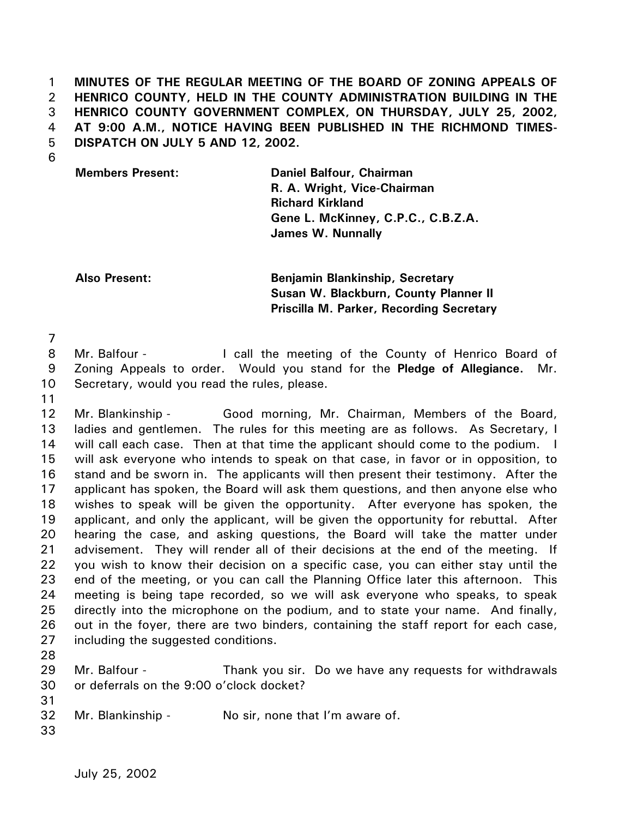1 2 3 4 5 **MINUTES OF THE REGULAR MEETING OF THE BOARD OF ZONING APPEALS OF HENRICO COUNTY, HELD IN THE COUNTY ADMINISTRATION BUILDING IN THE HENRICO COUNTY GOVERNMENT COMPLEX, ON THURSDAY, JULY 25, 2002, AT 9:00 A.M., NOTICE HAVING BEEN PUBLISHED IN THE RICHMOND TIMES-DISPATCH ON JULY 5 AND 12, 2002.** 

6

**Members Present: Daniel Balfour, Chairman R. A. Wright, Vice-Chairman Richard Kirkland Gene L. McKinney, C.P.C., C.B.Z.A. James W. Nunnally**

**Also Present: Benjamin Blankinship, Secretary Susan W. Blackburn, County Planner II Priscilla M. Parker, Recording Secretary** 

7

8 9 10 Mr. Balfour - The call the meeting of the County of Henrico Board of Zoning Appeals to order. Would you stand for the **Pledge of Allegiance.** Mr. Secretary, would you read the rules, please.

11

12 13 14 15 16 17 18 19 20 21 22 23 24 25 26 27 Mr. Blankinship - Good morning, Mr. Chairman, Members of the Board, ladies and gentlemen. The rules for this meeting are as follows. As Secretary, I will call each case. Then at that time the applicant should come to the podium. I will ask everyone who intends to speak on that case, in favor or in opposition, to stand and be sworn in. The applicants will then present their testimony. After the applicant has spoken, the Board will ask them questions, and then anyone else who wishes to speak will be given the opportunity. After everyone has spoken, the applicant, and only the applicant, will be given the opportunity for rebuttal. After hearing the case, and asking questions, the Board will take the matter under advisement. They will render all of their decisions at the end of the meeting. If you wish to know their decision on a specific case, you can either stay until the end of the meeting, or you can call the Planning Office later this afternoon. This meeting is being tape recorded, so we will ask everyone who speaks, to speak directly into the microphone on the podium, and to state your name. And finally, out in the foyer, there are two binders, containing the staff report for each case, including the suggested conditions.

28

29 30 Mr. Balfour - Thank you sir. Do we have any requests for withdrawals or deferrals on the 9:00 o'clock docket?

32 Mr. Blankinship - No sir, none that I'm aware of.

33

31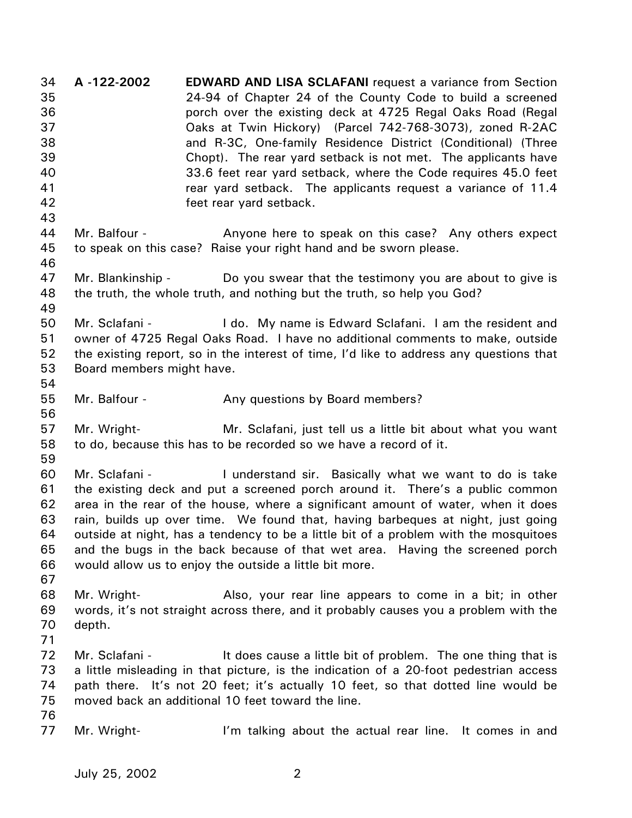34 35 36 37 38 39 40 41 42 43 44 45 46 47 48 49 50 51 52 53 54 55 56 57 58 59 60 61 62 63 64 65 66 67 68 69 70 71 72 73 74 75 76 77 **A -122-2002 EDWARD AND LISA SCLAFANI** request a variance from Section 24-94 of Chapter 24 of the County Code to build a screened porch over the existing deck at 4725 Regal Oaks Road (Regal Oaks at Twin Hickory) (Parcel 742-768-3073), zoned R-2AC and R-3C, One-family Residence District (Conditional) (Three Chopt). The rear yard setback is not met. The applicants have 33.6 feet rear yard setback, where the Code requires 45.0 feet rear yard setback. The applicants request a variance of 11.4 feet rear yard setback. Mr. Balfour - Anyone here to speak on this case? Any others expect to speak on this case? Raise your right hand and be sworn please. Mr. Blankinship - Do you swear that the testimony you are about to give is the truth, the whole truth, and nothing but the truth, so help you God? Mr. Sclafani - The I do. My name is Edward Sclafani. I am the resident and owner of 4725 Regal Oaks Road. I have no additional comments to make, outside the existing report, so in the interest of time, I'd like to address any questions that Board members might have. Mr. Balfour - Any questions by Board members? Mr. Wright- Mr. Sclafani, just tell us a little bit about what you want to do, because this has to be recorded so we have a record of it. Mr. Sclafani - The Inderstand sir. Basically what we want to do is take the existing deck and put a screened porch around it. There's a public common area in the rear of the house, where a significant amount of water, when it does rain, builds up over time. We found that, having barbeques at night, just going outside at night, has a tendency to be a little bit of a problem with the mosquitoes and the bugs in the back because of that wet area. Having the screened porch would allow us to enjoy the outside a little bit more. Mr. Wright- Also, your rear line appears to come in a bit; in other words, it's not straight across there, and it probably causes you a problem with the depth. Mr. Sclafani - The scause a little bit of problem. The one thing that is a little misleading in that picture, is the indication of a 20-foot pedestrian access path there. It's not 20 feet; it's actually 10 feet, so that dotted line would be moved back an additional 10 feet toward the line. Mr. Wright- **I'm talking about the actual rear line.** It comes in and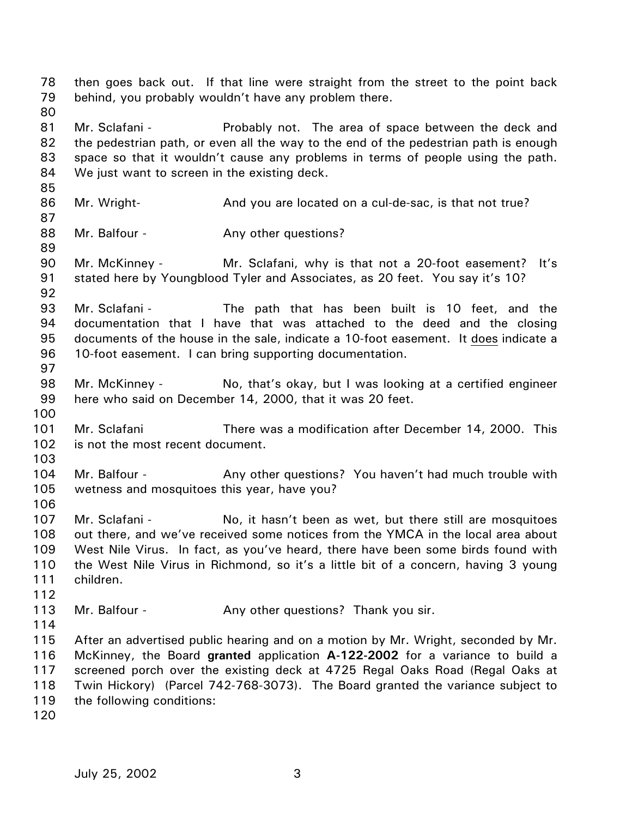78 79 80 81 82 83 84 85 86 87 88 89 90 91 92 93 94 then goes back out. If that line were straight from the street to the point back behind, you probably wouldn't have any problem there. Mr. Sclafani - The area of space between the deck and the pedestrian path, or even all the way to the end of the pedestrian path is enough space so that it wouldn't cause any problems in terms of people using the path. We just want to screen in the existing deck. Mr. Wright- **And you are located on a cul-de-sac, is that not true?** Mr. Balfour - Any other questions? Mr. McKinney - The Mr. Sclafani, why is that not a 20-foot easement? It's stated here by Youngblood Tyler and Associates, as 20 feet. You say it's 10? Mr. Sclafani - The path that has been built is 10 feet, and the documentation that I have that was attached to the deed and the closing documents of the house in the sale, indicate a 10-foot easement. It does indicate a 10-foot easement. I can bring supporting documentation. 95 96 97 98 99 100 101 102 103 104 105 106 107 108 109 110 111 112 113 114 115 116 117 118 119 120 Mr. McKinney - No, that's okay, but I was looking at a certified engineer here who said on December 14, 2000, that it was 20 feet. Mr. Sclafani **There was a modification after December 14, 2000.** This is not the most recent document. Mr. Balfour - **Any other questions?** You haven't had much trouble with wetness and mosquitoes this year, have you? Mr. Sclafani - The No, it hasn't been as wet, but there still are mosquitoes out there, and we've received some notices from the YMCA in the local area about West Nile Virus. In fact, as you've heard, there have been some birds found with the West Nile Virus in Richmond, so it's a little bit of a concern, having 3 young children. Mr. Balfour - Any other questions? Thank you sir. After an advertised public hearing and on a motion by Mr. Wright, seconded by Mr. McKinney, the Board **granted** application **A-122-2002** for a variance to build a screened porch over the existing deck at 4725 Regal Oaks Road (Regal Oaks at Twin Hickory) (Parcel 742-768-3073). The Board granted the variance subject to the following conditions: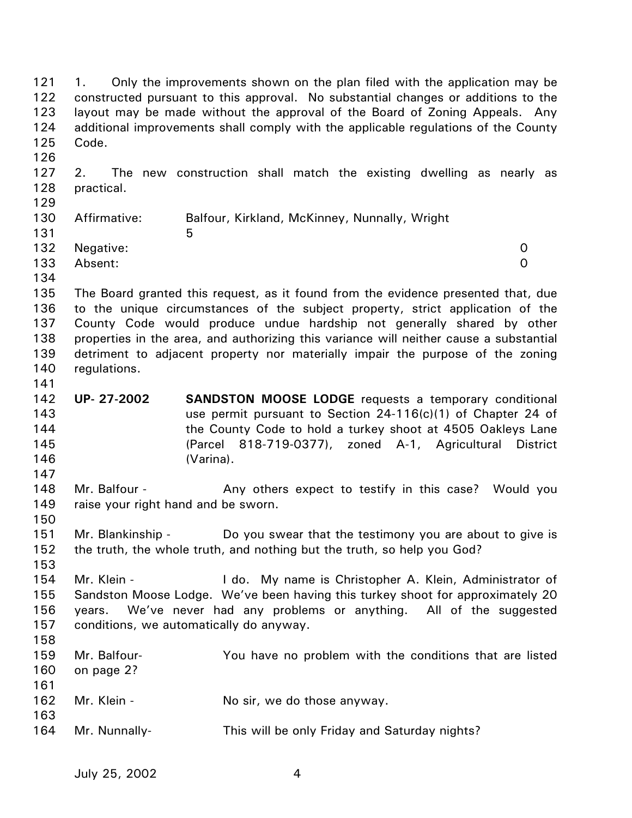121 122 123 124 125 126 127 128 129 1. Only the improvements shown on the plan filed with the application may be constructed pursuant to this approval. No substantial changes or additions to the layout may be made without the approval of the Board of Zoning Appeals. Any additional improvements shall comply with the applicable regulations of the County Code. 2. The new construction shall match the existing dwelling as nearly as practical.

| ---- |               |                                               |   |
|------|---------------|-----------------------------------------------|---|
| 130  | Affirmative:  | Balfour, Kirkland, McKinney, Nunnally, Wright |   |
| 131  |               | 5                                             |   |
|      | 132 Negative: |                                               | 0 |
| 133  | Absent:       |                                               | O |
| 134  |               |                                               |   |

135 136 137 138 139 140 The Board granted this request, as it found from the evidence presented that, due to the unique circumstances of the subject property, strict application of the County Code would produce undue hardship not generally shared by other properties in the area, and authorizing this variance will neither cause a substantial detriment to adjacent property nor materially impair the purpose of the zoning regulations.

- 142 143 144 145 146 **UP- 27-2002 SANDSTON MOOSE LODGE** requests a temporary conditional use permit pursuant to Section 24-116(c)(1) of Chapter 24 of the County Code to hold a turkey shoot at 4505 Oakleys Lane (Parcel 818-719-0377), zoned A-1, Agricultural District (Varina).
- 148 149 Mr. Balfour - The Any others expect to testify in this case? Would you raise your right hand and be sworn.
- 151 152 Mr. Blankinship - Do you swear that the testimony you are about to give is the truth, the whole truth, and nothing but the truth, so help you God?
- 153 154 155 156 157 Mr. Klein - The Lido. My name is Christopher A. Klein, Administrator of Sandston Moose Lodge. We've been having this turkey shoot for approximately 20 years. We've never had any problems or anything. All of the suggested conditions, we automatically do anyway.
- 158 159 160 161 162 163 164 Mr. Balfour- You have no problem with the conditions that are listed on page 2? Mr. Klein - No sir, we do those anyway. Mr. Nunnally- This will be only Friday and Saturday nights?

141

147

150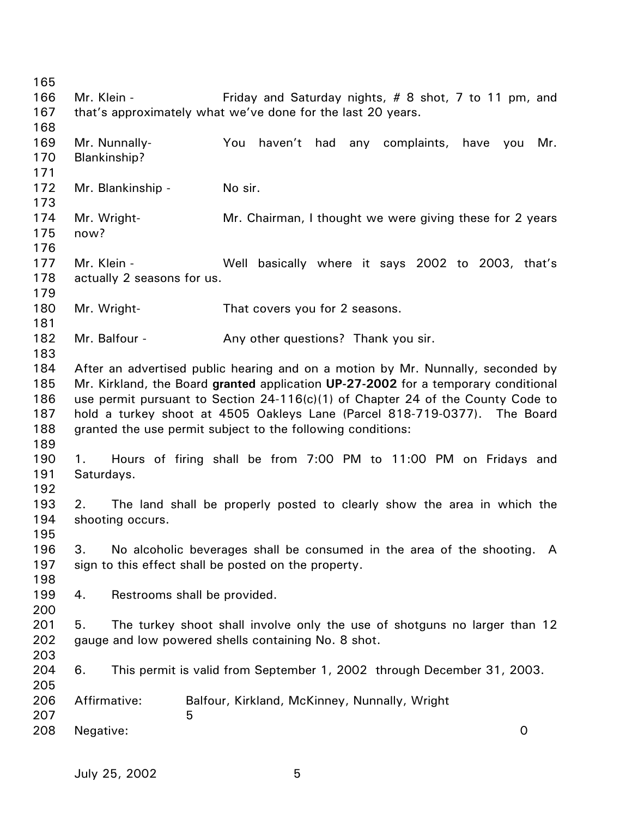165 166 167 168 169 170 171 172 173 174 175 176 177 178 179 180 181 182 183 184 185 186 187 188 189 190 191 192 193 194 195 196 197 198 199 200 201 202 203 204 205 206 207 208 Mr. Klein - Friday and Saturday nights, # 8 shot, 7 to 11 pm, and that's approximately what we've done for the last 20 years. Mr. Nunnally- You haven't had any complaints, have you Mr. Blankinship? Mr. Blankinship - No sir. Mr. Wright- Mr. Chairman, I thought we were giving these for 2 years now? Mr. Klein - The Well basically where it says 2002 to 2003, that's actually 2 seasons for us. Mr. Wright- That covers you for 2 seasons. Mr. Balfour - Any other questions? Thank you sir. After an advertised public hearing and on a motion by Mr. Nunnally, seconded by Mr. Kirkland, the Board **granted** application **UP-27-2002** for a temporary conditional use permit pursuant to Section 24-116(c)(1) of Chapter 24 of the County Code to hold a turkey shoot at 4505 Oakleys Lane (Parcel 818-719-0377). The Board granted the use permit subject to the following conditions: 1. Hours of firing shall be from 7:00 PM to 11:00 PM on Fridays and Saturdays. 2. The land shall be properly posted to clearly show the area in which the shooting occurs. 3. No alcoholic beverages shall be consumed in the area of the shooting. A sign to this effect shall be posted on the property. 4. Restrooms shall be provided. 5. The turkey shoot shall involve only the use of shotguns no larger than 12 gauge and low powered shells containing No. 8 shot. 6. This permit is valid from September 1, 2002 through December 31, 2003. Affirmative: Balfour, Kirkland, McKinney, Nunnally, Wright  $\sim$  5 Negative: 0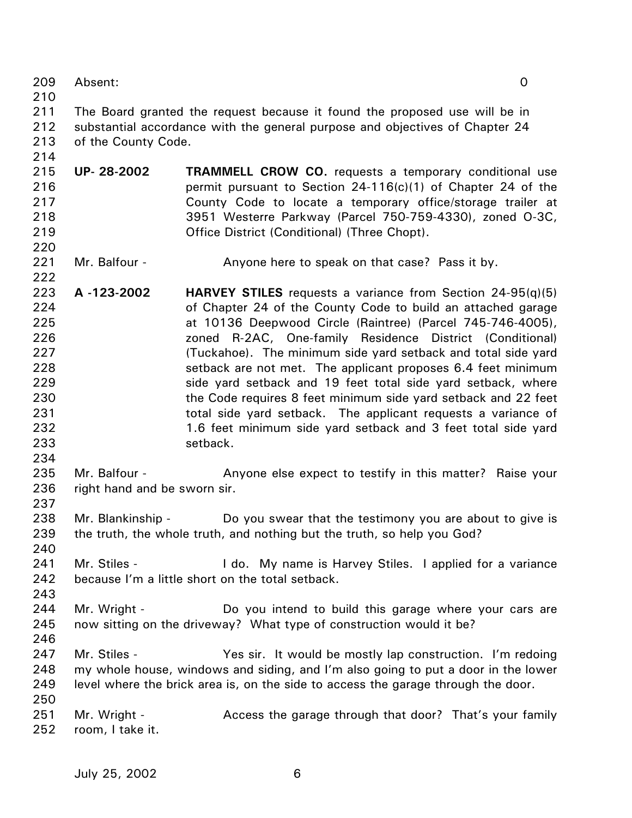209 Absent: 0

210

214

220

222

234

237

240

243

246

211 212 213 The Board granted the request because it found the proposed use will be in substantial accordance with the general purpose and objectives of Chapter 24 of the County Code.

- 215 216 217 218 219 **UP- 28-2002 TRAMMELL CROW CO.** requests a temporary conditional use permit pursuant to Section 24-116(c)(1) of Chapter 24 of the County Code to locate a temporary office/storage trailer at 3951 Westerre Parkway (Parcel 750-759-4330), zoned O-3C, Office District (Conditional) (Three Chopt).
- 221 Mr. Balfour - **Anyone here to speak on that case?** Pass it by.

223 224 225 226 227 228 229 230 231 232 233 **A -123-2002 HARVEY STILES** requests a variance from Section 24-95(q)(5) of Chapter 24 of the County Code to build an attached garage at 10136 Deepwood Circle (Raintree) (Parcel 745-746-4005), zoned R-2AC, One-family Residence District (Conditional) (Tuckahoe). The minimum side yard setback and total side yard setback are not met. The applicant proposes 6.4 feet minimum side yard setback and 19 feet total side yard setback, where the Code requires 8 feet minimum side yard setback and 22 feet total side yard setback. The applicant requests a variance of 1.6 feet minimum side yard setback and 3 feet total side yard setback.

- 235 236 Mr. Balfour - Anyone else expect to testify in this matter? Raise your right hand and be sworn sir.
- 238 239 Mr. Blankinship - Do you swear that the testimony you are about to give is the truth, the whole truth, and nothing but the truth, so help you God?
- 241 242 Mr. Stiles - I do. My name is Harvey Stiles. I applied for a variance because I'm a little short on the total setback.
- 244 245 Mr. Wright - The Do you intend to build this garage where your cars are now sitting on the driveway? What type of construction would it be?
- 247 248 249 250 Mr. Stiles - Yes sir. It would be mostly lap construction. I'm redoing my whole house, windows and siding, and I'm also going to put a door in the lower level where the brick area is, on the side to access the garage through the door.
- 251 252 Mr. Wright - Access the garage through that door? That's your family room, I take it.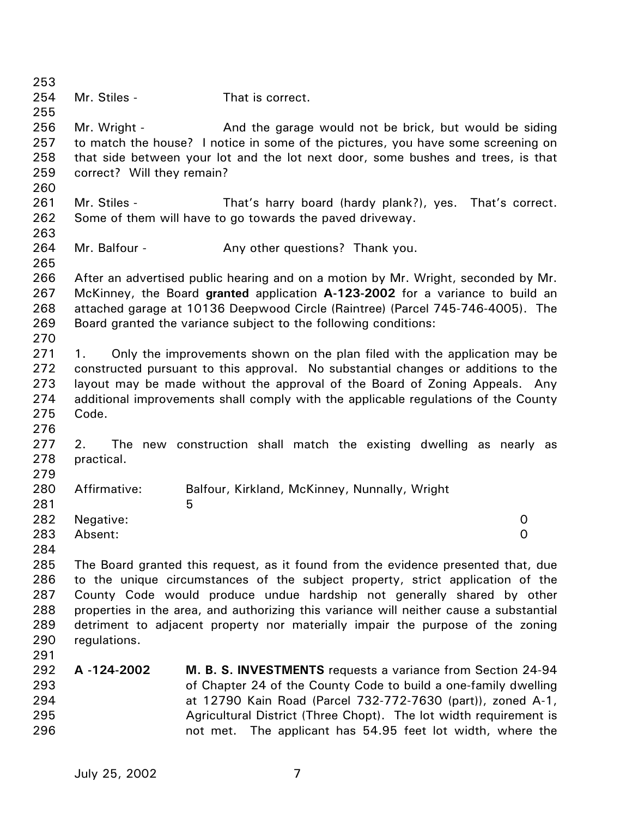253 254 255 256 257 258 259 260 261 262 263 264 265 266 267 268 269 270 271 272 273 274 275 276 277 278 279 280 281 282 283 284 285 286 287 288 289 290 291 292 293 294 295 296 Mr. Stiles - That is correct. Mr. Wright - **And the garage would not be brick, but would be siding** to match the house? I notice in some of the pictures, you have some screening on that side between your lot and the lot next door, some bushes and trees, is that correct? Will they remain? Mr. Stiles - That's harry board (hardy plank?), yes. That's correct. Some of them will have to go towards the paved driveway. Mr. Balfour - Thank you. Any other questions? Thank you. After an advertised public hearing and on a motion by Mr. Wright, seconded by Mr. McKinney, the Board **granted** application **A-123-2002** for a variance to build an attached garage at 10136 Deepwood Circle (Raintree) (Parcel 745-746-4005). The Board granted the variance subject to the following conditions: 1. Only the improvements shown on the plan filed with the application may be constructed pursuant to this approval. No substantial changes or additions to the layout may be made without the approval of the Board of Zoning Appeals. Any additional improvements shall comply with the applicable regulations of the County Code. 2. The new construction shall match the existing dwelling as nearly as practical. Affirmative: Balfour, Kirkland, McKinney, Nunnally, Wright  $\sim$  5 Negative: 0 Absent: 0 The Board granted this request, as it found from the evidence presented that, due to the unique circumstances of the subject property, strict application of the County Code would produce undue hardship not generally shared by other properties in the area, and authorizing this variance will neither cause a substantial detriment to adjacent property nor materially impair the purpose of the zoning regulations. **A -124-2002 M. B. S. INVESTMENTS** requests a variance from Section 24-94 of Chapter 24 of the County Code to build a one-family dwelling at 12790 Kain Road (Parcel 732-772-7630 (part)), zoned A-1, Agricultural District (Three Chopt). The lot width requirement is not met. The applicant has 54.95 feet lot width, where the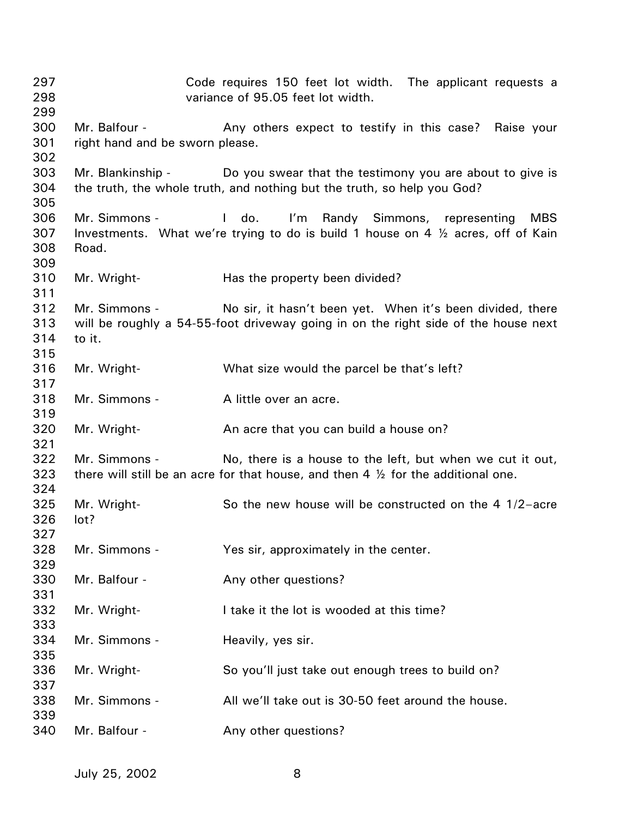Code requires 150 feet lot width. The applicant requests a variance of 95.05 feet lot width. Mr. Balfour - The Any others expect to testify in this case? Raise your right hand and be sworn please. Mr. Blankinship - Do you swear that the testimony you are about to give is the truth, the whole truth, and nothing but the truth, so help you God? Mr. Simmons - I do. I'm Randy Simmons, representing MBS Investments. What we're trying to do is build 1 house on 4 ½ acres, off of Kain Road. Mr. Wright- **Has the property been divided?** Mr. Simmons - No sir, it hasn't been yet. When it's been divided, there will be roughly a 54-55-foot driveway going in on the right side of the house next to it. Mr. Wright- What size would the parcel be that's left? Mr. Simmons - A little over an acre. Mr. Wright- **An acre that you can build a house on?** Mr. Simmons - No, there is a house to the left, but when we cut it out, there will still be an acre for that house, and then 4  $\frac{1}{2}$  for the additional one. Mr. Wright- So the new house will be constructed on the 4 1/2-acre lot? Mr. Simmons - Yes sir, approximately in the center. Mr. Balfour - The Any other questions? Mr. Wright-<br>
I take it the lot is wooded at this time? Mr. Simmons - Heavily, yes sir. Mr. Wright- So you'll just take out enough trees to build on? Mr. Simmons - All we'll take out is 30-50 feet around the house. Mr. Balfour - The Any other questions?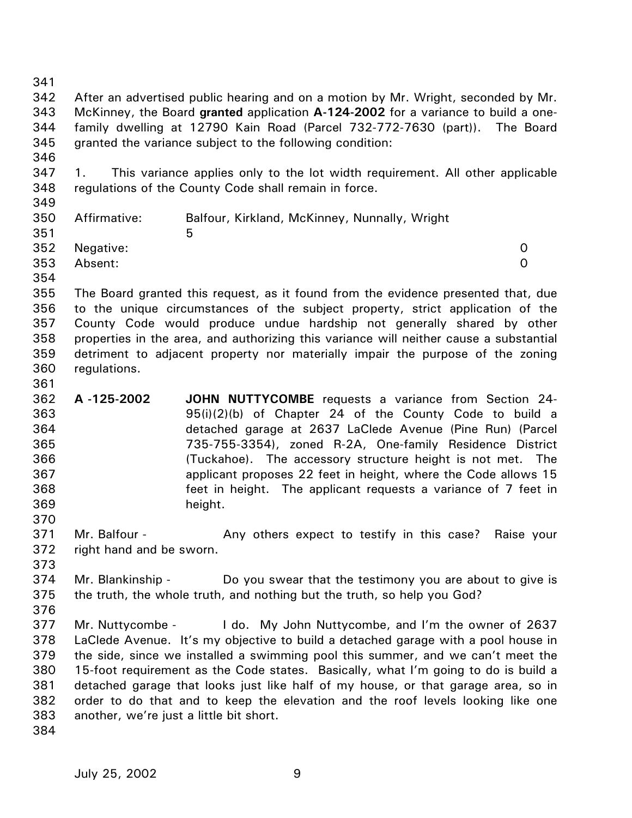342 343 344 345 346 347 348 349 350 351 352 353 354 355 356 357 358 359 360 361 362 363 364 365 366 367 368 369 370 371 372 373 374 375 376 377 378 379 380 381 After an advertised public hearing and on a motion by Mr. Wright, seconded by Mr. McKinney, the Board **granted** application **A-124-2002** for a variance to build a onefamily dwelling at 12790 Kain Road (Parcel 732-772-7630 (part)). The Board granted the variance subject to the following condition: 1. This variance applies only to the lot width requirement. All other applicable regulations of the County Code shall remain in force. Affirmative: Balfour, Kirkland, McKinney, Nunnally, Wright  $5<sub>5</sub>$ Negative: 0 Absent: 0 The Board granted this request, as it found from the evidence presented that, due to the unique circumstances of the subject property, strict application of the County Code would produce undue hardship not generally shared by other properties in the area, and authorizing this variance will neither cause a substantial detriment to adjacent property nor materially impair the purpose of the zoning regulations. **A -125-2002 JOHN NUTTYCOMBE** requests a variance from Section 24- 95(i)(2)(b) of Chapter 24 of the County Code to build a detached garage at 2637 LaClede Avenue (Pine Run) (Parcel 735-755-3354), zoned R-2A, One-family Residence District (Tuckahoe). The accessory structure height is not met. The applicant proposes 22 feet in height, where the Code allows 15 feet in height. The applicant requests a variance of 7 feet in height. Mr. Balfour - **Any others expect to testify in this case?** Raise your right hand and be sworn. Mr. Blankinship - Do you swear that the testimony you are about to give is the truth, the whole truth, and nothing but the truth, so help you God? Mr. Nuttycombe - I do. My John Nuttycombe, and I'm the owner of 2637 LaClede Avenue. It's my objective to build a detached garage with a pool house in the side, since we installed a swimming pool this summer, and we can't meet the 15-foot requirement as the Code states. Basically, what I'm going to do is build a detached garage that looks just like half of my house, or that garage area, so in

another, we're just a little bit short.

382 383 384

341

order to do that and to keep the elevation and the roof levels looking like one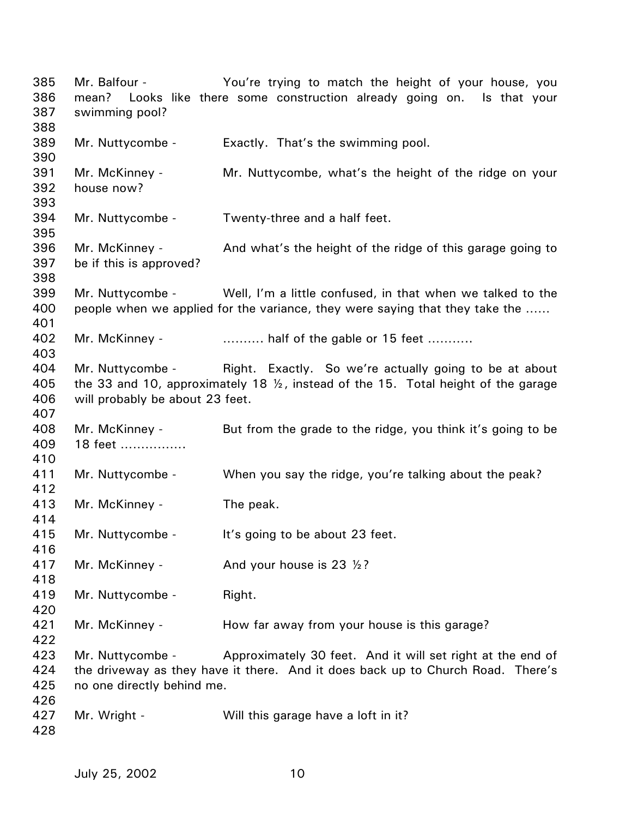Mr. Balfour - The You're trying to match the height of your house, you mean? Looks like there some construction already going on. Is that your swimming pool? Mr. Nuttycombe - Exactly. That's the swimming pool. Mr. McKinney - Mr. Nuttycombe, what's the height of the ridge on your house now? Mr. Nuttycombe - Twenty-three and a half feet. Mr. McKinney - And what's the height of the ridge of this garage going to be if this is approved? Mr. Nuttycombe - Well, I'm a little confused, in that when we talked to the people when we applied for the variance, they were saying that they take the …… Mr. McKinney - ……….. half of the gable or 15 feet ………. Mr. Nuttycombe - Right. Exactly. So we're actually going to be at about the 33 and 10, approximately 18 ½, instead of the 15. Total height of the garage will probably be about 23 feet. Mr. McKinney - But from the grade to the ridge, you think it's going to be 18 feet ……………. Mr. Nuttycombe - When you say the ridge, you're talking about the peak? Mr. McKinney - The peak. Mr. Nuttycombe - It's going to be about 23 feet. Mr. McKinney -  $\mu$  And your house is 23  $\frac{1}{2}$ ? Mr. Nuttycombe - Right. Mr. McKinney - The How far away from your house is this garage? Mr. Nuttycombe - Approximately 30 feet. And it will set right at the end of the driveway as they have it there. And it does back up to Church Road. There's no one directly behind me. Mr. Wright - Will this garage have a loft in it?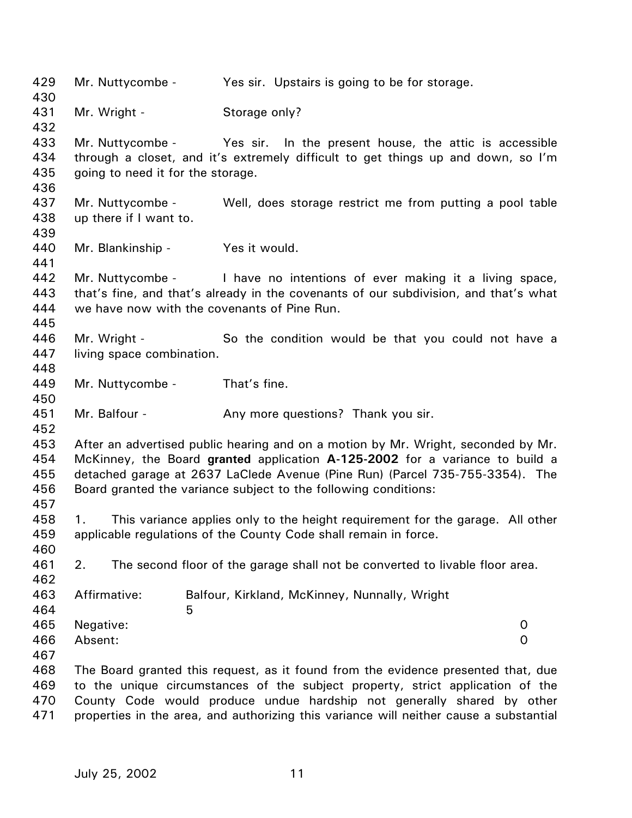429 430 431 432 433 434 435 436 437 438 439 440 441 442 443 444 445 446 447 448 449 450 451 452 453 454 455 456 457 458 459 460 461 462 463 464 465 466 467 468 469 470 471 Mr. Nuttycombe - Yes sir. Upstairs is going to be for storage. Mr. Wright - Storage only? Mr. Nuttycombe - Yes sir. In the present house, the attic is accessible through a closet, and it's extremely difficult to get things up and down, so I'm going to need it for the storage. Mr. Nuttycombe - Well, does storage restrict me from putting a pool table up there if I want to. Mr. Blankinship - Yes it would. Mr. Nuttycombe - I have no intentions of ever making it a living space, that's fine, and that's already in the covenants of our subdivision, and that's what we have now with the covenants of Pine Run. Mr. Wright - So the condition would be that you could not have a living space combination. Mr. Nuttycombe - That's fine. Mr. Balfour - Any more questions? Thank you sir. After an advertised public hearing and on a motion by Mr. Wright, seconded by Mr. McKinney, the Board **granted** application **A-125-2002** for a variance to build a detached garage at 2637 LaClede Avenue (Pine Run) (Parcel 735-755-3354). The Board granted the variance subject to the following conditions: 1. This variance applies only to the height requirement for the garage. All other applicable regulations of the County Code shall remain in force. 2. The second floor of the garage shall not be converted to livable floor area. Affirmative: Balfour, Kirkland, McKinney, Nunnally, Wright  $5<sub>5</sub>$ Negative: 0 Absent: 0 The Board granted this request, as it found from the evidence presented that, due to the unique circumstances of the subject property, strict application of the County Code would produce undue hardship not generally shared by other properties in the area, and authorizing this variance will neither cause a substantial

July 25, 2002 11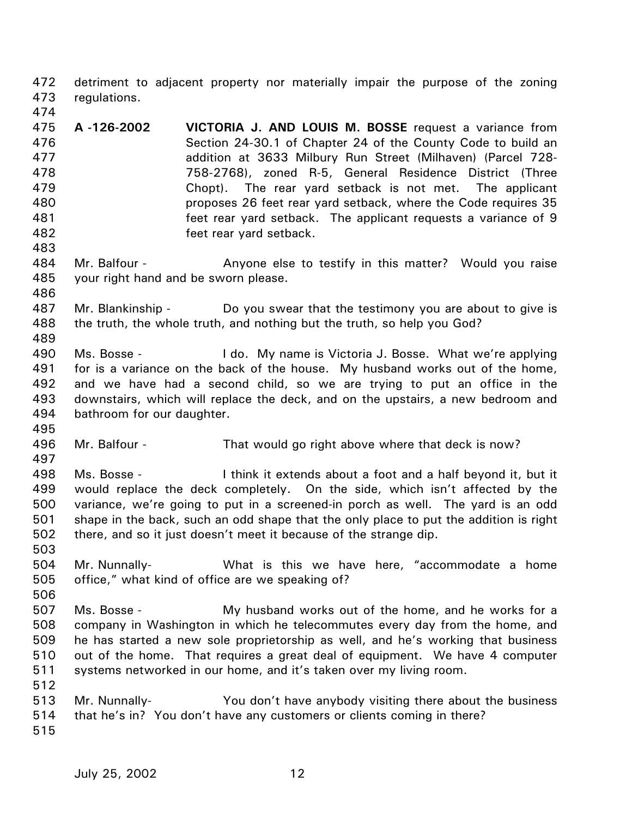472 473 detriment to adjacent property nor materially impair the purpose of the zoning regulations.

- 475 476 477 478 479 480 481 482 **A -126-2002 VICTORIA J. AND LOUIS M. BOSSE** request a variance from Section 24-30.1 of Chapter 24 of the County Code to build an addition at 3633 Milbury Run Street (Milhaven) (Parcel 728- 758-2768), zoned R-5, General Residence District (Three Chopt). The rear yard setback is not met. The applicant proposes 26 feet rear yard setback, where the Code requires 35 feet rear yard setback. The applicant requests a variance of 9 feet rear yard setback.
- 484 485 Mr. Balfour - **Anyone else to testify in this matter?** Would you raise your right hand and be sworn please.
- 487 488 489 Mr. Blankinship - Do you swear that the testimony you are about to give is the truth, the whole truth, and nothing but the truth, so help you God?
- 490 491 492 493 494 Ms. Bosse - The Letton My name is Victoria J. Bosse. What we're applying for is a variance on the back of the house. My husband works out of the home, and we have had a second child, so we are trying to put an office in the downstairs, which will replace the deck, and on the upstairs, a new bedroom and bathroom for our daughter.
- 495 496

497

503

474

483

486

- Mr. Balfour That would go right above where that deck is now?
- 498 499 500 501 502 Ms. Bosse - I think it extends about a foot and a half beyond it, but it would replace the deck completely. On the side, which isn't affected by the variance, we're going to put in a screened-in porch as well. The yard is an odd shape in the back, such an odd shape that the only place to put the addition is right there, and so it just doesn't meet it because of the strange dip.
- 504 505 Mr. Nunnally- What is this we have here, "accommodate a home office," what kind of office are we speaking of?
- 506 507 508 509 510 511 512 Ms. Bosse - My husband works out of the home, and he works for a company in Washington in which he telecommutes every day from the home, and he has started a new sole proprietorship as well, and he's working that business out of the home. That requires a great deal of equipment. We have 4 computer systems networked in our home, and it's taken over my living room.
	- 513 514 Mr. Nunnally- You don't have anybody visiting there about the business that he's in? You don't have any customers or clients coming in there?
	- 515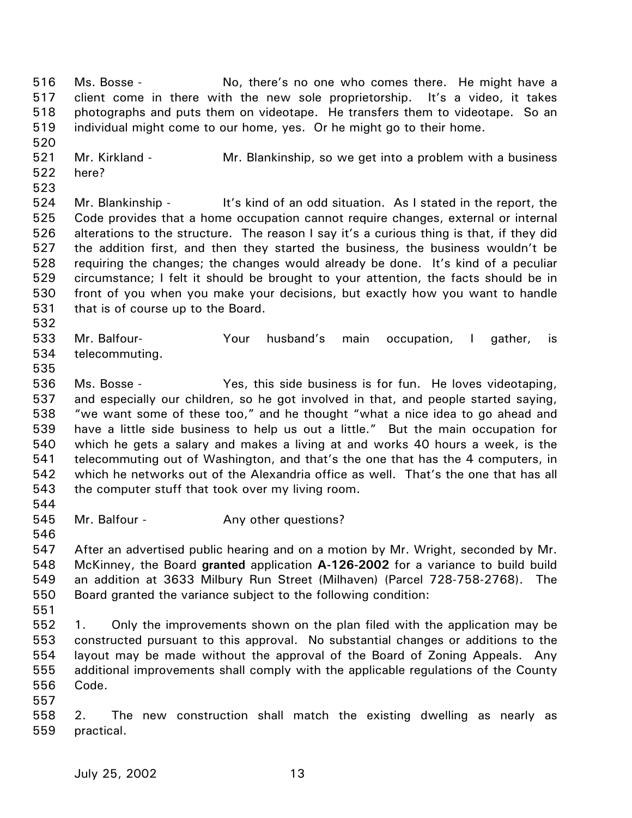516 517 518 519 Ms. Bosse - No, there's no one who comes there. He might have a client come in there with the new sole proprietorship. It's a video, it takes photographs and puts them on videotape. He transfers them to videotape. So an individual might come to our home, yes. Or he might go to their home.

520

521 Mr. Kirkland - Mr. Blankinship, so we get into a problem with a business

- 522 here?
- 523

524 525 526 527 528 529 530 531 Mr. Blankinship - It's kind of an odd situation. As I stated in the report, the Code provides that a home occupation cannot require changes, external or internal alterations to the structure. The reason I say it's a curious thing is that, if they did the addition first, and then they started the business, the business wouldn't be requiring the changes; the changes would already be done. It's kind of a peculiar circumstance; I felt it should be brought to your attention, the facts should be in front of you when you make your decisions, but exactly how you want to handle that is of course up to the Board.

532

533 534 Mr. Balfour- Your husband's main occupation, I gather, is telecommuting.

535

536 537 538 539 540 541 542 543 Ms. Bosse - Yes, this side business is for fun. He loves videotaping, and especially our children, so he got involved in that, and people started saying, "we want some of these too," and he thought "what a nice idea to go ahead and have a little side business to help us out a little." But the main occupation for which he gets a salary and makes a living at and works 40 hours a week, is the telecommuting out of Washington, and that's the one that has the 4 computers, in which he networks out of the Alexandria office as well. That's the one that has all the computer stuff that took over my living room.

544

545 Mr. Balfour - The Any other questions?

546

547 548 549 550 After an advertised public hearing and on a motion by Mr. Wright, seconded by Mr. McKinney, the Board **granted** application **A-126-2002** for a variance to build build an addition at 3633 Milbury Run Street (Milhaven) (Parcel 728-758-2768). The Board granted the variance subject to the following condition:

551

552 553 554 555 556 1. Only the improvements shown on the plan filed with the application may be constructed pursuant to this approval. No substantial changes or additions to the layout may be made without the approval of the Board of Zoning Appeals. Any additional improvements shall comply with the applicable regulations of the County Code.

557

558 559 2. The new construction shall match the existing dwelling as nearly as practical.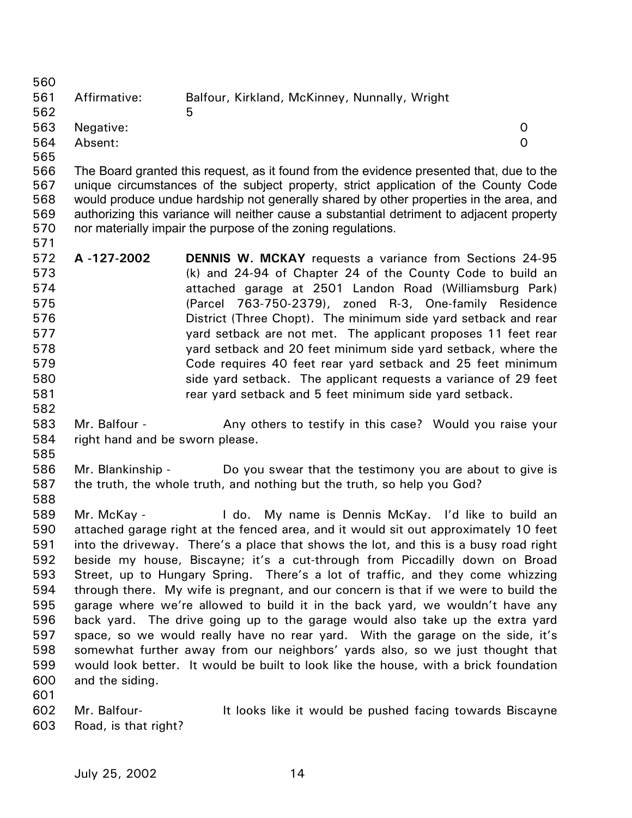560 561 562 563 564 565 Affirmative: Balfour, Kirkland, McKinney, Nunnally, Wright  $\sim$  5 Negative: 0 Absent: 0

566 567 568 569 570 The Board granted this request, as it found from the evidence presented that, due to the unique circumstances of the subject property, strict application of the County Code would produce undue hardship not generally shared by other properties in the area, and authorizing this variance will neither cause a substantial detriment to adjacent property nor materially impair the purpose of the zoning regulations.

- 572 573 574 575 576 577 578 579 580 581 582 **A -127-2002 DENNIS W. MCKAY** requests a variance from Sections 24-95 (k) and 24-94 of Chapter 24 of the County Code to build an attached garage at 2501 Landon Road (Williamsburg Park) (Parcel 763-750-2379), zoned R-3, One-family Residence District (Three Chopt). The minimum side yard setback and rear yard setback are not met. The applicant proposes 11 feet rear yard setback and 20 feet minimum side yard setback, where the Code requires 40 feet rear yard setback and 25 feet minimum side yard setback. The applicant requests a variance of 29 feet rear yard setback and 5 feet minimum side yard setback.
- 583 584 Mr. Balfour - Any others to testify in this case? Would you raise your right hand and be sworn please.
- 585

588

601

571

586 587 Mr. Blankinship - Do you swear that the testimony you are about to give is the truth, the whole truth, and nothing but the truth, so help you God?

589 590 591 592 593 594 595 596 597 598 599 600 Mr. McKay - I do. My name is Dennis McKay. I'd like to build an attached garage right at the fenced area, and it would sit out approximately 10 feet into the driveway. There's a place that shows the lot, and this is a busy road right beside my house, Biscayne; it's a cut-through from Piccadilly down on Broad Street, up to Hungary Spring. There's a lot of traffic, and they come whizzing through there. My wife is pregnant, and our concern is that if we were to build the garage where we're allowed to build it in the back yard, we wouldn't have any back yard. The drive going up to the garage would also take up the extra yard space, so we would really have no rear yard. With the garage on the side, it's somewhat further away from our neighbors' yards also, so we just thought that would look better. It would be built to look like the house, with a brick foundation and the siding.

602 603 Mr. Balfour- **It looks like it would be pushed facing towards Biscayne** Road, is that right?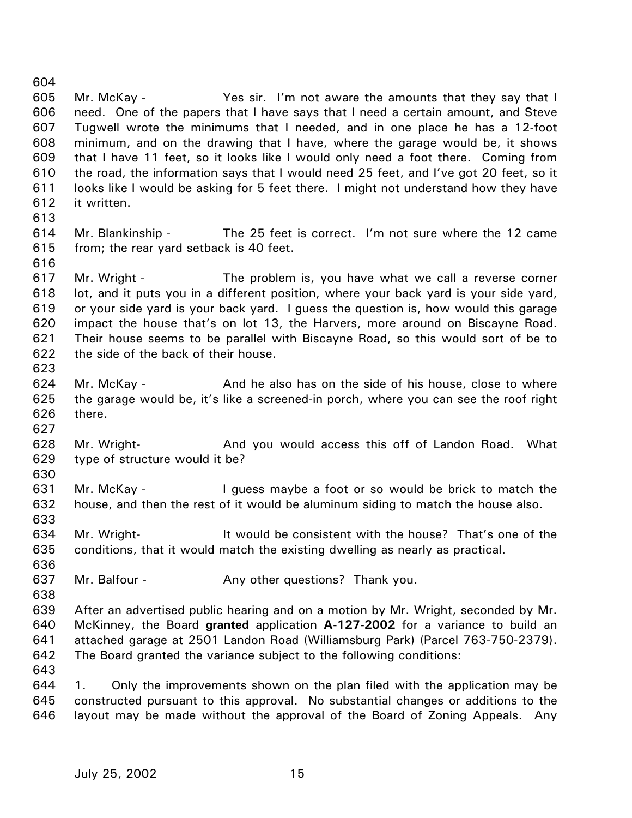606 607 608 609 610 611 612 613 614 615 616 617 618 619 620 621 622 623 624 625 626 627 628 629 630 631 632 633 634 635 636 637 638 639 640 641 642 need. One of the papers that I have says that I need a certain amount, and Steve Tugwell wrote the minimums that I needed, and in one place he has a 12-foot minimum, and on the drawing that I have, where the garage would be, it shows that I have 11 feet, so it looks like I would only need a foot there. Coming from the road, the information says that I would need 25 feet, and I've got 20 feet, so it looks like I would be asking for 5 feet there. I might not understand how they have it written. Mr. Blankinship - The 25 feet is correct. I'm not sure where the 12 came from; the rear yard setback is 40 feet. Mr. Wright - The problem is, you have what we call a reverse corner lot, and it puts you in a different position, where your back yard is your side yard, or your side yard is your back yard. I guess the question is, how would this garage impact the house that's on lot 13, the Harvers, more around on Biscayne Road. Their house seems to be parallel with Biscayne Road, so this would sort of be to the side of the back of their house. Mr. McKay - **And he also has on the side of his house**, close to where the garage would be, it's like a screened-in porch, where you can see the roof right there. Mr. Wright- **And you would access this off of Landon Road.** What type of structure would it be? Mr. McKay - The understanding a foot or so would be brick to match the house, and then the rest of it would be aluminum siding to match the house also. Mr. Wright- The It would be consistent with the house? That's one of the conditions, that it would match the existing dwelling as nearly as practical. Mr. Balfour - Any other questions? Thank you. After an advertised public hearing and on a motion by Mr. Wright, seconded by Mr. McKinney, the Board **granted** application **A-127-2002** for a variance to build an attached garage at 2501 Landon Road (Williamsburg Park) (Parcel 763-750-2379). The Board granted the variance subject to the following conditions:

Mr. McKay - The Yes sir. I'm not aware the amounts that they say that I

643

604 605

644 645 646 1. Only the improvements shown on the plan filed with the application may be constructed pursuant to this approval. No substantial changes or additions to the layout may be made without the approval of the Board of Zoning Appeals. Any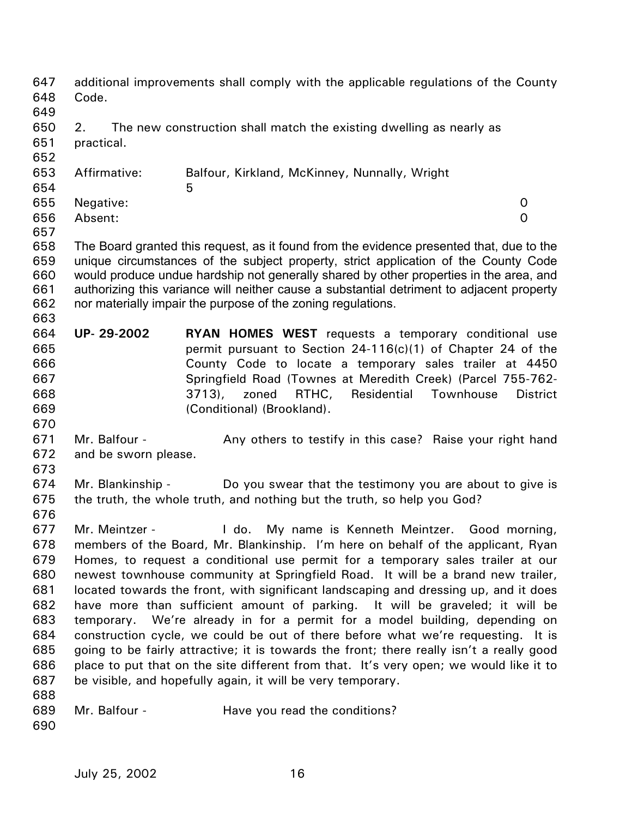| 647<br>648<br>649 | Code.                                                                                   | additional improvements shall comply with the applicable regulations of the County                                                                                              |                 |  |
|-------------------|-----------------------------------------------------------------------------------------|---------------------------------------------------------------------------------------------------------------------------------------------------------------------------------|-----------------|--|
| 650<br>651        | The new construction shall match the existing dwelling as nearly as<br>2.<br>practical. |                                                                                                                                                                                 |                 |  |
| 652               |                                                                                         |                                                                                                                                                                                 |                 |  |
| 653               | Affirmative:                                                                            | Balfour, Kirkland, McKinney, Nunnally, Wright                                                                                                                                   |                 |  |
| 654               |                                                                                         | 5                                                                                                                                                                               |                 |  |
| 655               | Negative:                                                                               |                                                                                                                                                                                 | 0               |  |
| 656               | Absent:                                                                                 |                                                                                                                                                                                 | $\Omega$        |  |
| 657               |                                                                                         |                                                                                                                                                                                 |                 |  |
| 658<br>659        |                                                                                         | The Board granted this request, as it found from the evidence presented that, due to the<br>unique circumstances of the subject property, strict application of the County Code |                 |  |
| 660               |                                                                                         | would produce undue hardship not generally shared by other properties in the area, and                                                                                          |                 |  |
| 661               |                                                                                         | authorizing this variance will neither cause a substantial detriment to adjacent property                                                                                       |                 |  |
| 662               |                                                                                         | nor materially impair the purpose of the zoning regulations.                                                                                                                    |                 |  |
| 663               |                                                                                         |                                                                                                                                                                                 |                 |  |
| 664               | UP-29-2002                                                                              | <b>RYAN HOMES WEST</b> requests a temporary conditional use                                                                                                                     |                 |  |
| 665               |                                                                                         | permit pursuant to Section 24-116(c)(1) of Chapter 24 of the                                                                                                                    |                 |  |
| 666               |                                                                                         | County Code to locate a temporary sales trailer at 4450                                                                                                                         |                 |  |
| 667               |                                                                                         | Springfield Road (Townes at Meredith Creek) (Parcel 755-762-                                                                                                                    |                 |  |
| 668               |                                                                                         | 3713,<br>zoned<br>RTHC,<br>Residential<br>Townhouse                                                                                                                             | <b>District</b> |  |
| 669               |                                                                                         | (Conditional) (Brookland).                                                                                                                                                      |                 |  |
| 670               |                                                                                         |                                                                                                                                                                                 |                 |  |
| 671               | Mr. Balfour -                                                                           | Any others to testify in this case? Raise your right hand                                                                                                                       |                 |  |
| 672               | and be sworn please.                                                                    |                                                                                                                                                                                 |                 |  |
| 673               |                                                                                         |                                                                                                                                                                                 |                 |  |
| 674               | Mr. Blankinship -                                                                       | Do you swear that the testimony you are about to give is                                                                                                                        |                 |  |
| 675               |                                                                                         | the truth, the whole truth, and nothing but the truth, so help you God?                                                                                                         |                 |  |
| 676               |                                                                                         |                                                                                                                                                                                 |                 |  |
| 677               | Mr. Meintzer -                                                                          | My name is Kenneth Meintzer.<br>I do.<br>Good morning,                                                                                                                          |                 |  |
| 678               |                                                                                         | members of the Board, Mr. Blankinship. I'm here on behalf of the applicant, Ryan                                                                                                |                 |  |
| 679               | Homes, to request a conditional use permit for a temporary sales trailer at our         |                                                                                                                                                                                 |                 |  |
| 680               | newest townhouse community at Springfield Road. It will be a brand new trailer,         |                                                                                                                                                                                 |                 |  |
| 681               | located towards the front, with significant landscaping and dressing up, and it does    |                                                                                                                                                                                 |                 |  |
| 682               | have more than sufficient amount of parking. It will be graveled; it will be            |                                                                                                                                                                                 |                 |  |
| 683               | We're already in for a permit for a model building, depending on<br>temporary.          |                                                                                                                                                                                 |                 |  |
| 684               |                                                                                         | construction cycle, we could be out of there before what we're requesting. It is                                                                                                |                 |  |
| 685               |                                                                                         | going to be fairly attractive; it is towards the front; there really isn't a really good                                                                                        |                 |  |
| 686               |                                                                                         | place to put that on the site different from that. It's very open; we would like it to                                                                                          |                 |  |
| 687               |                                                                                         | be visible, and hopefully again, it will be very temporary.                                                                                                                     |                 |  |
| 688               |                                                                                         |                                                                                                                                                                                 |                 |  |
| 689               | Mr. Balfour -                                                                           | Have you read the conditions?                                                                                                                                                   |                 |  |
| 690               |                                                                                         |                                                                                                                                                                                 |                 |  |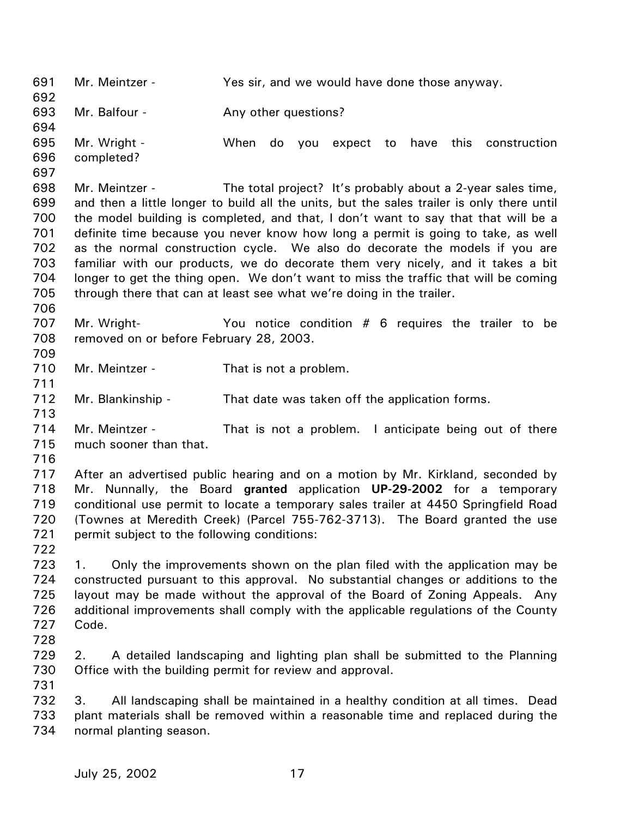691 692 693 694 695 696 697 698 699 700 701 702 703 704 705 706 707 708 709 710 711 712 713 714 715 716 717 718 719 720 721 722 723 724 725 726 727 728 729 730 731 732 733 734 Mr. Meintzer - The Yes sir, and we would have done those anyway. Mr. Balfour - The Any other questions? Mr. Wright - When do you expect to have this construction completed? Mr. Meintzer - The total project? It's probably about a 2-year sales time, and then a little longer to build all the units, but the sales trailer is only there until the model building is completed, and that, I don't want to say that that will be a definite time because you never know how long a permit is going to take, as well as the normal construction cycle. We also do decorate the models if you are familiar with our products, we do decorate them very nicely, and it takes a bit longer to get the thing open. We don't want to miss the traffic that will be coming through there that can at least see what we're doing in the trailer. Mr. Wright- You notice condition # 6 requires the trailer to be removed on or before February 28, 2003. Mr. Meintzer - That is not a problem. Mr. Blankinship - That date was taken off the application forms. Mr. Meintzer - That is not a problem. I anticipate being out of there much sooner than that. After an advertised public hearing and on a motion by Mr. Kirkland, seconded by Mr. Nunnally, the Board **granted** application **UP-29-2002** for a temporary conditional use permit to locate a temporary sales trailer at 4450 Springfield Road (Townes at Meredith Creek) (Parcel 755-762-3713). The Board granted the use permit subject to the following conditions: 1. Only the improvements shown on the plan filed with the application may be constructed pursuant to this approval. No substantial changes or additions to the layout may be made without the approval of the Board of Zoning Appeals. Any additional improvements shall comply with the applicable regulations of the County Code. 2. A detailed landscaping and lighting plan shall be submitted to the Planning Office with the building permit for review and approval. 3. All landscaping shall be maintained in a healthy condition at all times. Dead plant materials shall be removed within a reasonable time and replaced during the normal planting season.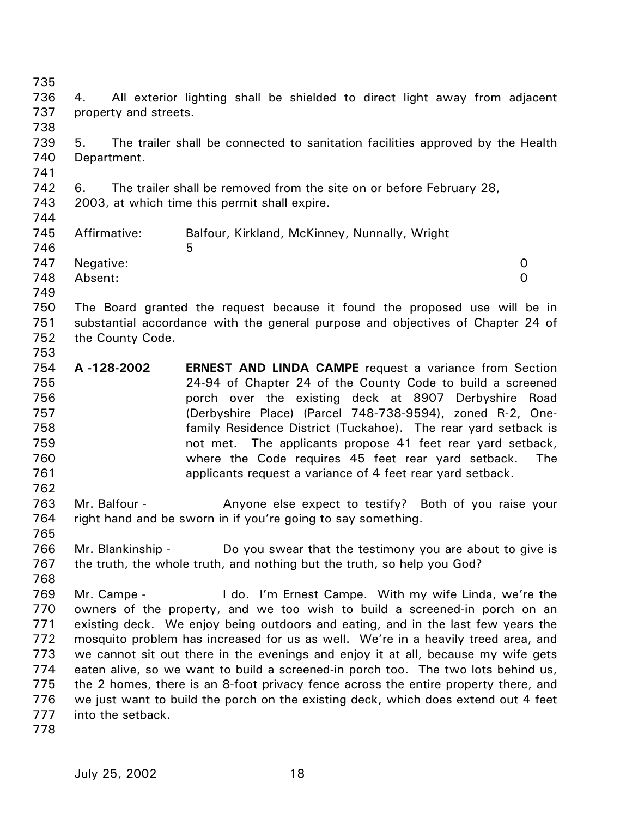735 736 737 738 739 740 741 742 743 744 745 746 747 748 749 750 751 752 753 754 755 756 757 758 759 760 761 762 763 764 765 766 767 768 769 770 771 772 773 774 775 776 777 778 4. All exterior lighting shall be shielded to direct light away from adjacent property and streets. 5. The trailer shall be connected to sanitation facilities approved by the Health Department. 6. The trailer shall be removed from the site on or before February 28, 2003, at which time this permit shall expire. Affirmative: Balfour, Kirkland, McKinney, Nunnally, Wright  $5<sub>5</sub>$ Negative: 0 Absent: 0 The Board granted the request because it found the proposed use will be in substantial accordance with the general purpose and objectives of Chapter 24 of the County Code. **A -128-2002 ERNEST AND LINDA CAMPE** request a variance from Section 24-94 of Chapter 24 of the County Code to build a screened porch over the existing deck at 8907 Derbyshire Road (Derbyshire Place) (Parcel 748-738-9594), zoned R-2, Onefamily Residence District (Tuckahoe). The rear yard setback is not met. The applicants propose 41 feet rear yard setback, where the Code requires 45 feet rear yard setback. The applicants request a variance of 4 feet rear yard setback. Mr. Balfour - Anyone else expect to testify? Both of you raise your right hand and be sworn in if you're going to say something. Mr. Blankinship - Do you swear that the testimony you are about to give is the truth, the whole truth, and nothing but the truth, so help you God? Mr. Campe - The Lindo. I'm Ernest Campe. With my wife Linda, we're the owners of the property, and we too wish to build a screened-in porch on an existing deck. We enjoy being outdoors and eating, and in the last few years the mosquito problem has increased for us as well. We're in a heavily treed area, and we cannot sit out there in the evenings and enjoy it at all, because my wife gets eaten alive, so we want to build a screened-in porch too. The two lots behind us, the 2 homes, there is an 8-foot privacy fence across the entire property there, and we just want to build the porch on the existing deck, which does extend out 4 feet into the setback.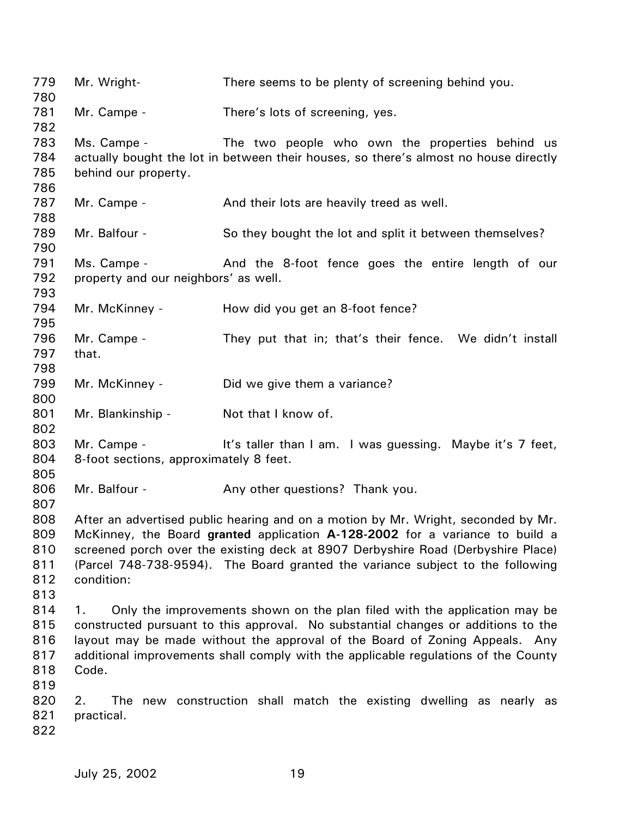| 779<br>780                             | Mr. Wright-                                           | There seems to be plenty of screening behind you.                                                                                                                                                                                                                                                                                       |
|----------------------------------------|-------------------------------------------------------|-----------------------------------------------------------------------------------------------------------------------------------------------------------------------------------------------------------------------------------------------------------------------------------------------------------------------------------------|
| 781<br>782                             | Mr. Campe -                                           | There's lots of screening, yes.                                                                                                                                                                                                                                                                                                         |
| 783<br>784<br>785<br>786               | Ms. Campe -<br>behind our property.                   | The two people who own the properties behind us<br>actually bought the lot in between their houses, so there's almost no house directly                                                                                                                                                                                                 |
| 787<br>788                             | Mr. Campe -                                           | And their lots are heavily treed as well.                                                                                                                                                                                                                                                                                               |
| 789<br>790                             | Mr. Balfour -                                         | So they bought the lot and split it between themselves?                                                                                                                                                                                                                                                                                 |
| 791<br>792<br>793                      | Ms. Campe -<br>property and our neighbors' as well.   | And the 8-foot fence goes the entire length of our                                                                                                                                                                                                                                                                                      |
| 794<br>795                             | Mr. McKinney -                                        | How did you get an 8-foot fence?                                                                                                                                                                                                                                                                                                        |
| 796<br>797<br>798                      | Mr. Campe -<br>that.                                  | They put that in; that's their fence. We didn't install                                                                                                                                                                                                                                                                                 |
| 799<br>800                             | Mr. McKinney -                                        | Did we give them a variance?                                                                                                                                                                                                                                                                                                            |
| 801<br>802                             | Mr. Blankinship -                                     | Not that I know of.                                                                                                                                                                                                                                                                                                                     |
| 803<br>804<br>805                      | Mr. Campe -<br>8-foot sections, approximately 8 feet. | It's taller than I am. I was guessing. Maybe it's 7 feet,                                                                                                                                                                                                                                                                               |
| 806<br>807                             | Mr. Balfour -                                         | Any other questions? Thank you.                                                                                                                                                                                                                                                                                                         |
| 808<br>809<br>810<br>811<br>812<br>813 | condition:                                            | After an advertised public hearing and on a motion by Mr. Wright, seconded by Mr.<br>McKinney, the Board granted application A-128-2002 for a variance to build a<br>screened porch over the existing deck at 8907 Derbyshire Road (Derbyshire Place)<br>(Parcel 748-738-9594). The Board granted the variance subject to the following |
| 814<br>815<br>816<br>817<br>818<br>819 | 1.<br>Code.                                           | Only the improvements shown on the plan filed with the application may be<br>constructed pursuant to this approval. No substantial changes or additions to the<br>layout may be made without the approval of the Board of Zoning Appeals. Any<br>additional improvements shall comply with the applicable regulations of the County     |
| 820<br>821<br>822                      | 2.<br>practical.                                      | The new construction shall match the existing dwelling as nearly as                                                                                                                                                                                                                                                                     |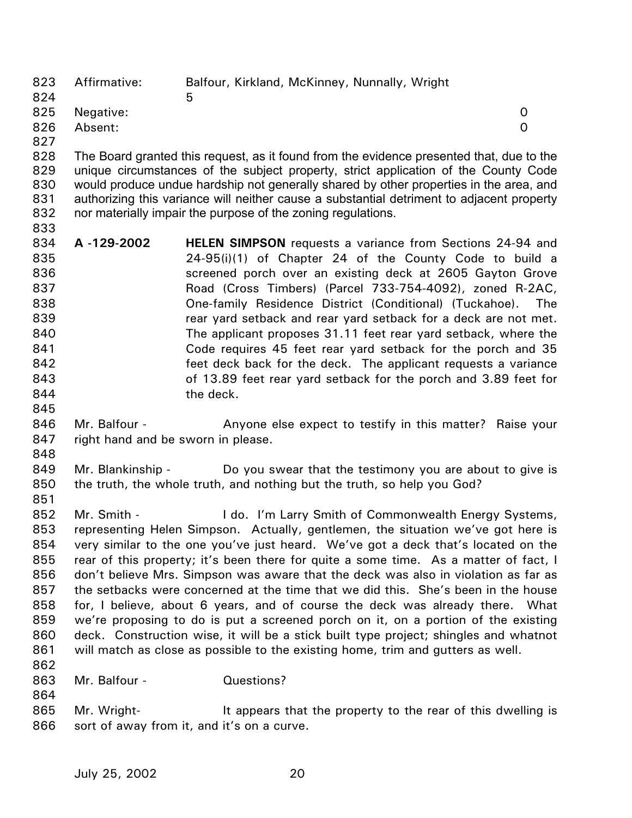823 824 825 826 Affirmative: Balfour, Kirkland, McKinney, Nunnally, Wright  $\sim$  5 Negative: 0 Absent: 0

828 829 830 831 832 The Board granted this request, as it found from the evidence presented that, due to the unique circumstances of the subject property, strict application of the County Code would produce undue hardship not generally shared by other properties in the area, and authorizing this variance will neither cause a substantial detriment to adjacent property nor materially impair the purpose of the zoning regulations.

- 833 834 835 836 837 838 839 840 841 842 843 844 845 **A -129-2002 HELEN SIMPSON** requests a variance from Sections 24-94 and 24-95(i)(1) of Chapter 24 of the County Code to build a screened porch over an existing deck at 2605 Gayton Grove Road (Cross Timbers) (Parcel 733-754-4092), zoned R-2AC, One-family Residence District (Conditional) (Tuckahoe). The rear yard setback and rear yard setback for a deck are not met. The applicant proposes 31.11 feet rear yard setback, where the Code requires 45 feet rear yard setback for the porch and 35 feet deck back for the deck. The applicant requests a variance of 13.89 feet rear yard setback for the porch and 3.89 feet for the deck.
- 846 847 Mr. Balfour - Anyone else expect to testify in this matter? Raise your right hand and be sworn in please.
- 848

851

864

827

849 850 Mr. Blankinship - Do you swear that the testimony you are about to give is the truth, the whole truth, and nothing but the truth, so help you God?

- 852 853 854 855 856 857 858 859 860 861 862 Mr. Smith - **I do. I'm Larry Smith of Commonwealth Energy Systems**, representing Helen Simpson. Actually, gentlemen, the situation we've got here is very similar to the one you've just heard. We've got a deck that's located on the rear of this property; it's been there for quite a some time. As a matter of fact, I don't believe Mrs. Simpson was aware that the deck was also in violation as far as the setbacks were concerned at the time that we did this. She's been in the house for, I believe, about 6 years, and of course the deck was already there. What we're proposing to do is put a screened porch on it, on a portion of the existing deck. Construction wise, it will be a stick built type project; shingles and whatnot will match as close as possible to the existing home, trim and gutters as well.
- 863 Mr. Balfour - Questions?
- 865 866 Mr. Wright- It appears that the property to the rear of this dwelling is sort of away from it, and it's on a curve.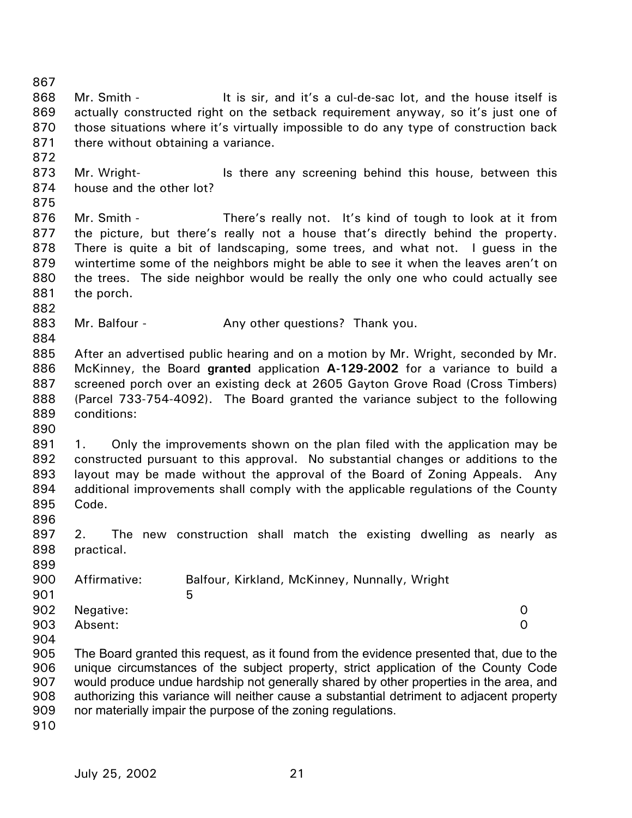867 868 869 870 871 872 873 874 875 876 877 878 879 880 881 882 883 884 885 886 887 888 889 890 891 892 893 894 895 896 897 898 899 900 901 902 903 904 905 906 907 908 909 910 Mr. Smith - It is sir, and it's a cul-de-sac lot, and the house itself is actually constructed right on the setback requirement anyway, so it's just one of those situations where it's virtually impossible to do any type of construction back there without obtaining a variance. Mr. Wright- **In the Mr. Wright-** Is there any screening behind this house, between this house and the other lot? Mr. Smith - There's really not. It's kind of tough to look at it from the picture, but there's really not a house that's directly behind the property. There is quite a bit of landscaping, some trees, and what not. I guess in the wintertime some of the neighbors might be able to see it when the leaves aren't on the trees. The side neighbor would be really the only one who could actually see the porch. Mr. Balfour - Any other questions? Thank you. After an advertised public hearing and on a motion by Mr. Wright, seconded by Mr. McKinney, the Board **granted** application **A-129-2002** for a variance to build a screened porch over an existing deck at 2605 Gayton Grove Road (Cross Timbers) (Parcel 733-754-4092). The Board granted the variance subject to the following conditions: 1. Only the improvements shown on the plan filed with the application may be constructed pursuant to this approval. No substantial changes or additions to the layout may be made without the approval of the Board of Zoning Appeals. Any additional improvements shall comply with the applicable regulations of the County Code. 2. The new construction shall match the existing dwelling as nearly as practical. Affirmative: Balfour, Kirkland, McKinney, Nunnally, Wright  $5<sub>5</sub>$ Negative: 0 Absent: 0 The Board granted this request, as it found from the evidence presented that, due to the unique circumstances of the subject property, strict application of the County Code would produce undue hardship not generally shared by other properties in the area, and authorizing this variance will neither cause a substantial detriment to adjacent property nor materially impair the purpose of the zoning regulations.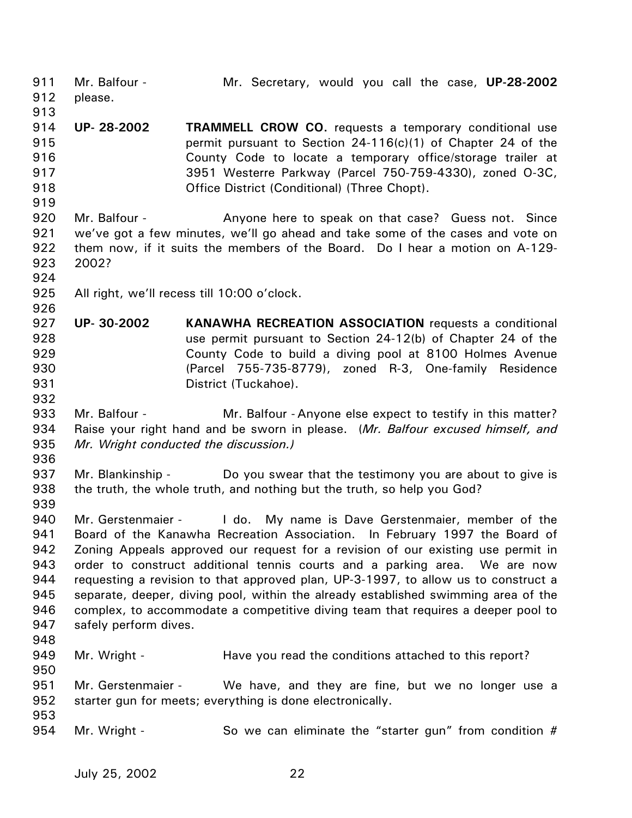911 912 913 914 915 916 917 918 919 920 921 922 923 924 925 926 927 928 929 930 931 932 933 934 935 936 937 938 939 940 941 942 943 944 945 946 947 948 949 950 951 952 953 954 Mr. Balfour - Mr. Secretary, would you call the case, **UP-28-2002** please. **UP- 28-2002 TRAMMELL CROW CO.** requests a temporary conditional use permit pursuant to Section 24-116(c)(1) of Chapter 24 of the County Code to locate a temporary office/storage trailer at 3951 Westerre Parkway (Parcel 750-759-4330), zoned O-3C, Office District (Conditional) (Three Chopt). Mr. Balfour - Anyone here to speak on that case? Guess not. Since we've got a few minutes, we'll go ahead and take some of the cases and vote on them now, if it suits the members of the Board. Do I hear a motion on A-129- 2002? All right, we'll recess till 10:00 o'clock. **UP- 30-2002 KANAWHA RECREATION ASSOCIATION** requests a conditional use permit pursuant to Section 24-12(b) of Chapter 24 of the County Code to build a diving pool at 8100 Holmes Avenue (Parcel 755-735-8779), zoned R-3, One-family Residence District (Tuckahoe). Mr. Balfour - **Mr. Balfour - Anyone else expect to testify in this matter?** Raise your right hand and be sworn in please. (*Mr. Balfour excused himself, and Mr. Wright conducted the discussion.)*  Mr. Blankinship - Do you swear that the testimony you are about to give is the truth, the whole truth, and nothing but the truth, so help you God? Mr. Gerstenmaier - I do. My name is Dave Gerstenmaier, member of the Board of the Kanawha Recreation Association. In February 1997 the Board of Zoning Appeals approved our request for a revision of our existing use permit in order to construct additional tennis courts and a parking area. We are now requesting a revision to that approved plan, UP-3-1997, to allow us to construct a separate, deeper, diving pool, within the already established swimming area of the complex, to accommodate a competitive diving team that requires a deeper pool to safely perform dives. Mr. Wright - The Have you read the conditions attached to this report? Mr. Gerstenmaier - We have, and they are fine, but we no longer use a starter gun for meets; everything is done electronically. Mr. Wright - So we can eliminate the "starter gun" from condition #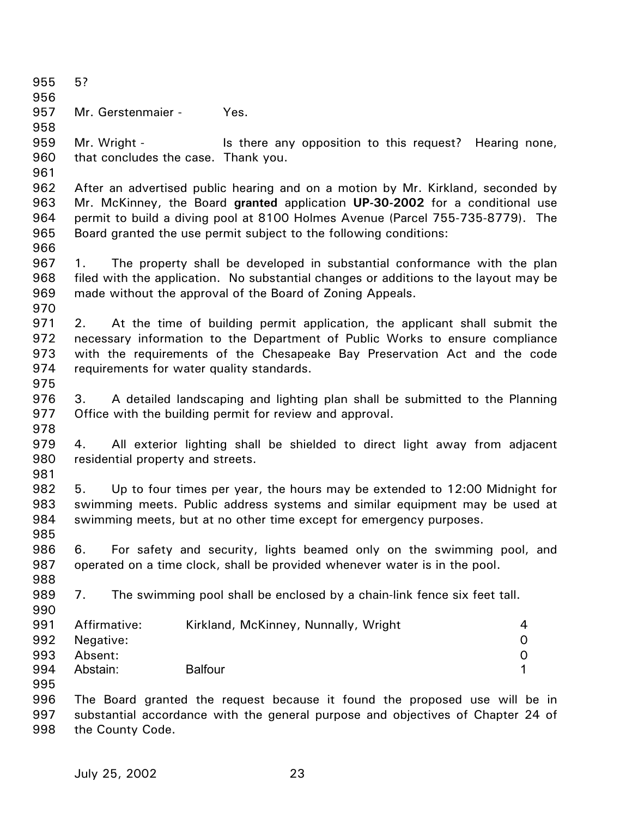955 956 957 958 959 960 961 962 963 964 965 966 967 968 969 970 971 972 973 974 975 976 977 978 979 980 981 982 983 984 985 986 987 988 989 990 991 992 993 994 995 996 997 998 5? Mr. Gerstenmaier - Yes. Mr. Wright - This there any opposition to this request? Hearing none, that concludes the case. Thank you. After an advertised public hearing and on a motion by Mr. Kirkland, seconded by Mr. McKinney, the Board **granted** application **UP-30-2002** for a conditional use permit to build a diving pool at 8100 Holmes Avenue (Parcel 755-735-8779). The Board granted the use permit subject to the following conditions: 1. The property shall be developed in substantial conformance with the plan filed with the application. No substantial changes or additions to the layout may be made without the approval of the Board of Zoning Appeals. 2. At the time of building permit application, the applicant shall submit the necessary information to the Department of Public Works to ensure compliance with the requirements of the Chesapeake Bay Preservation Act and the code requirements for water quality standards. 3. A detailed landscaping and lighting plan shall be submitted to the Planning Office with the building permit for review and approval. 4. All exterior lighting shall be shielded to direct light away from adjacent residential property and streets. 5. Up to four times per year, the hours may be extended to 12:00 Midnight for swimming meets. Public address systems and similar equipment may be used at swimming meets, but at no other time except for emergency purposes. 6. For safety and security, lights beamed only on the swimming pool, and operated on a time clock, shall be provided whenever water is in the pool. 7. The swimming pool shall be enclosed by a chain-link fence six feet tall. Affirmative: Kirkland, McKinney, Nunnally, Wright 4 Negative: 0 Absent: 0 Abstain: Balfour **1** The Board granted the request because it found the proposed use will be in substantial accordance with the general purpose and objectives of Chapter 24 of the County Code.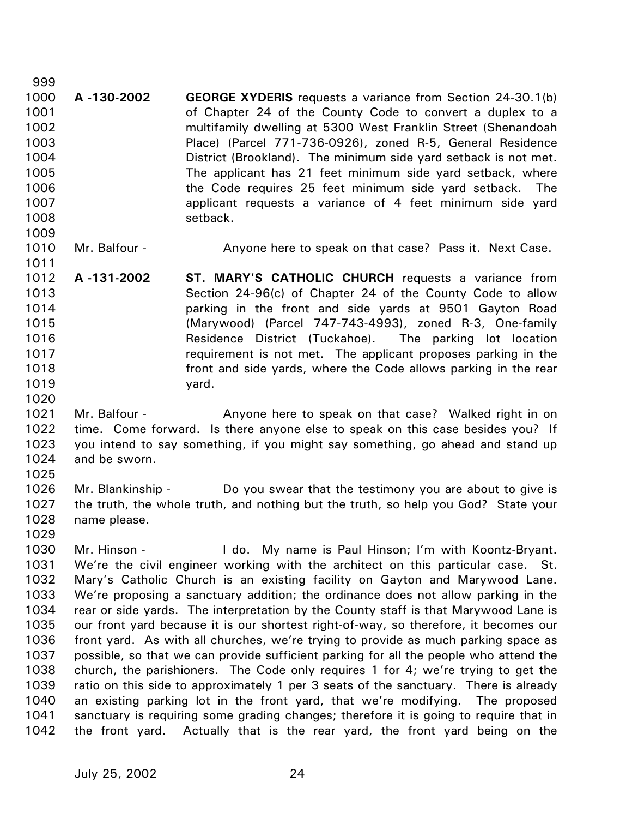1000 1001 1002 1003 1004 1005 1006 1007 1008 1009 **A -130-2002 GEORGE XYDERIS** requests a variance from Section 24-30.1(b) of Chapter 24 of the County Code to convert a duplex to a multifamily dwelling at 5300 West Franklin Street (Shenandoah Place) (Parcel 771-736-0926), zoned R-5, General Residence District (Brookland). The minimum side yard setback is not met. The applicant has 21 feet minimum side yard setback, where the Code requires 25 feet minimum side yard setback. The applicant requests a variance of 4 feet minimum side yard setback.

1010 Mr. Balfour - **Anyone here to speak on that case?** Pass it. Next Case.

- 1012 1013 1014 1015 1016 1017 1018 1019 **A -131-2002 ST. MARY'S CATHOLIC CHURCH** requests a variance from Section 24-96(c) of Chapter 24 of the County Code to allow parking in the front and side yards at 9501 Gayton Road (Marywood) (Parcel 747-743-4993), zoned R-3, One-family Residence District (Tuckahoe). The parking lot location requirement is not met. The applicant proposes parking in the front and side yards, where the Code allows parking in the rear yard.
- 1021 1022 1023 1024 Mr. Balfour - Anyone here to speak on that case? Walked right in on time. Come forward. Is there anyone else to speak on this case besides you? If you intend to say something, if you might say something, go ahead and stand up and be sworn.
- 1025

1020

999

1011

1026 1027 1028 Mr. Blankinship - Do you swear that the testimony you are about to give is the truth, the whole truth, and nothing but the truth, so help you God? State your name please.

1029

1030 1031 1032 1033 1034 1035 1036 1037 1038 1039 1040 1041 1042 Mr. Hinson - The Lido. My name is Paul Hinson; I'm with Koontz-Bryant. We're the civil engineer working with the architect on this particular case. St. Mary's Catholic Church is an existing facility on Gayton and Marywood Lane. We're proposing a sanctuary addition; the ordinance does not allow parking in the rear or side yards. The interpretation by the County staff is that Marywood Lane is our front yard because it is our shortest right-of-way, so therefore, it becomes our front yard. As with all churches, we're trying to provide as much parking space as possible, so that we can provide sufficient parking for all the people who attend the church, the parishioners. The Code only requires 1 for 4; we're trying to get the ratio on this side to approximately 1 per 3 seats of the sanctuary. There is already an existing parking lot in the front yard, that we're modifying. The proposed sanctuary is requiring some grading changes; therefore it is going to require that in the front yard. Actually that is the rear yard, the front yard being on the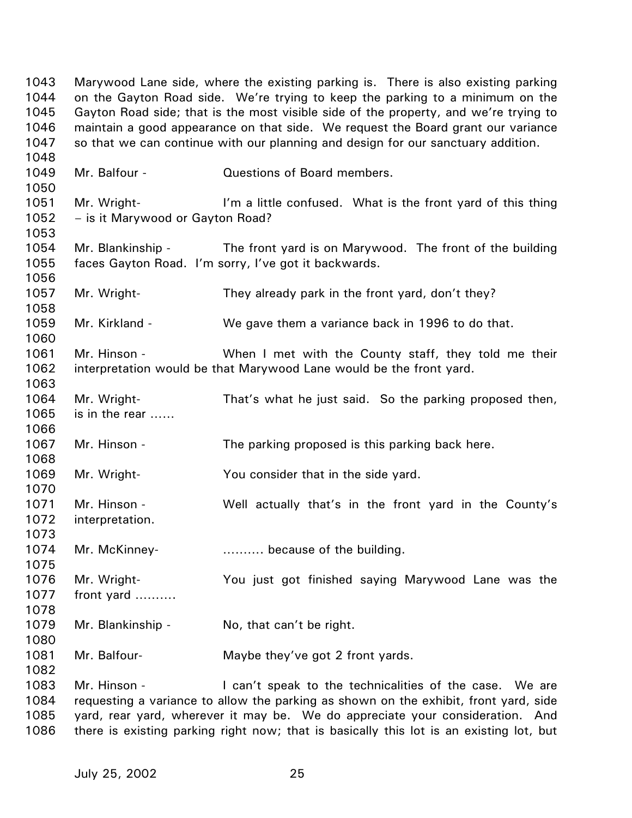1043 1044 1045 1046 1047 1048 1049 1050 1051 1052 1053 1054 1055 1056 1057 1058 1059 1060 1061 1062 1063 1064 1065 1066 1067 1068 1069 1070 1071 1072 1073 1074 1075 1076 1077 1078 1079 1080 1081 1082 1083 1084 1085 1086 Marywood Lane side, where the existing parking is. There is also existing parking on the Gayton Road side. We're trying to keep the parking to a minimum on the Gayton Road side; that is the most visible side of the property, and we're trying to maintain a good appearance on that side. We request the Board grant our variance so that we can continue with our planning and design for our sanctuary addition. Mr. Balfour - Cuestions of Board members. Mr. Wright- **I'm a little confused.** What is the front yard of this thing – is it Marywood or Gayton Road? Mr. Blankinship - The front yard is on Marywood. The front of the building faces Gayton Road. I'm sorry, I've got it backwards. Mr. Wright- They already park in the front yard, don't they? Mr. Kirkland - We gave them a variance back in 1996 to do that. Mr. Hinson - **When I met with the County staff, they told me their** interpretation would be that Marywood Lane would be the front yard. Mr. Wright- That's what he just said. So the parking proposed then, is in the rear …… Mr. Hinson - The parking proposed is this parking back here. Mr. Wright- You consider that in the side yard. Mr. Hinson - Well actually that's in the front yard in the County's interpretation. Mr. McKinney- ………. because of the building. Mr. Wright- You just got finished saying Marywood Lane was the front yard ………. Mr. Blankinship - No, that can't be right. Mr. Balfour- Maybe they've got 2 front yards. Mr. Hinson - The can't speak to the technicalities of the case. We are requesting a variance to allow the parking as shown on the exhibit, front yard, side yard, rear yard, wherever it may be. We do appreciate your consideration. And there is existing parking right now; that is basically this lot is an existing lot, but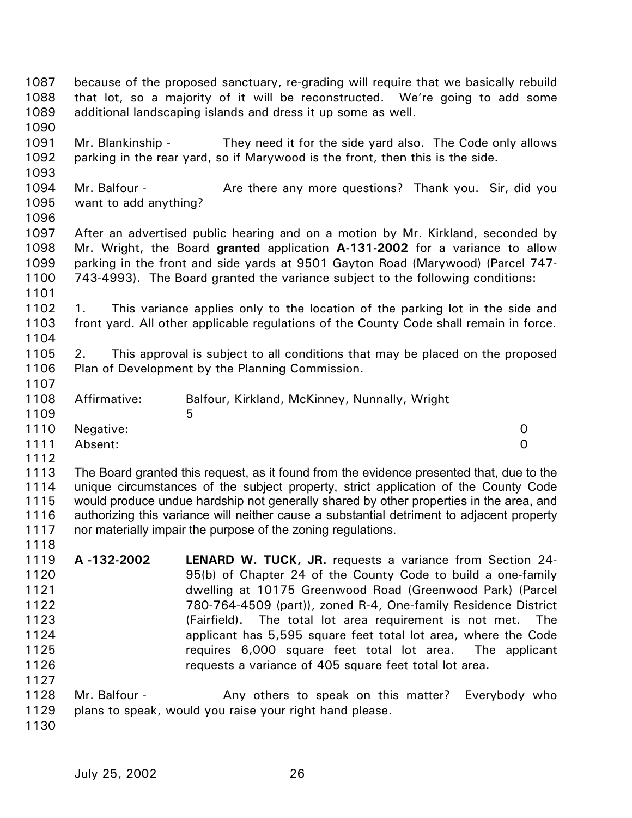| 1087<br>1088<br>1089                                                 |                                        | because of the proposed sanctuary, re-grading will require that we basically rebuild<br>that lot, so a majority of it will be reconstructed. We're going to add some<br>additional landscaping islands and dress it up some as well.                                                                                                                                                                                                                                                                              |     |
|----------------------------------------------------------------------|----------------------------------------|-------------------------------------------------------------------------------------------------------------------------------------------------------------------------------------------------------------------------------------------------------------------------------------------------------------------------------------------------------------------------------------------------------------------------------------------------------------------------------------------------------------------|-----|
| 1090<br>1091<br>1092<br>1093                                         | Mr. Blankinship -                      | They need it for the side yard also. The Code only allows<br>parking in the rear yard, so if Marywood is the front, then this is the side.                                                                                                                                                                                                                                                                                                                                                                        |     |
| 1094<br>1095<br>1096                                                 | Mr. Balfour -<br>want to add anything? | Are there any more questions? Thank you. Sir, did you                                                                                                                                                                                                                                                                                                                                                                                                                                                             |     |
| 1097<br>1098<br>1099<br>1100<br>1101                                 |                                        | After an advertised public hearing and on a motion by Mr. Kirkland, seconded by<br>Mr. Wright, the Board granted application A-131-2002 for a variance to allow<br>parking in the front and side yards at 9501 Gayton Road (Marywood) (Parcel 747-<br>743-4993). The Board granted the variance subject to the following conditions:                                                                                                                                                                              |     |
| 1102<br>1103<br>1104                                                 | 1.                                     | This variance applies only to the location of the parking lot in the side and<br>front yard. All other applicable regulations of the County Code shall remain in force.                                                                                                                                                                                                                                                                                                                                           |     |
| 1105<br>1106<br>1107                                                 | 2.                                     | This approval is subject to all conditions that may be placed on the proposed<br>Plan of Development by the Planning Commission.                                                                                                                                                                                                                                                                                                                                                                                  |     |
| 1108<br>1109                                                         | Affirmative:                           | Balfour, Kirkland, McKinney, Nunnally, Wright<br>5                                                                                                                                                                                                                                                                                                                                                                                                                                                                |     |
| 1110<br>1111<br>1112                                                 | Negative:<br>Absent:                   | 0<br>$\overline{0}$                                                                                                                                                                                                                                                                                                                                                                                                                                                                                               |     |
| 1113<br>1114<br>1115<br>1116<br>1117<br>1118                         |                                        | The Board granted this request, as it found from the evidence presented that, due to the<br>unique circumstances of the subject property, strict application of the County Code<br>would produce undue hardship not generally shared by other properties in the area, and<br>authorizing this variance will neither cause a substantial detriment to adjacent property<br>nor materially impair the purpose of the zoning regulations.                                                                            |     |
| 1119<br>1120<br>1121<br>1122<br>1123<br>1124<br>1125<br>1126<br>1127 | A-132-2002                             | <b>LENARD W. TUCK, JR.</b> requests a variance from Section 24-<br>95(b) of Chapter 24 of the County Code to build a one-family<br>dwelling at 10175 Greenwood Road (Greenwood Park) (Parcel<br>780-764-4509 (part)), zoned R-4, One-family Residence District<br>(Fairfield). The total lot area requirement is not met.<br>applicant has 5,595 square feet total lot area, where the Code<br>requires 6,000 square feet total lot area. The applicant<br>requests a variance of 405 square feet total lot area. | The |
| 1128<br>1129<br>1130                                                 | Mr. Balfour -                          | Any others to speak on this matter?<br>Everybody who<br>plans to speak, would you raise your right hand please.                                                                                                                                                                                                                                                                                                                                                                                                   |     |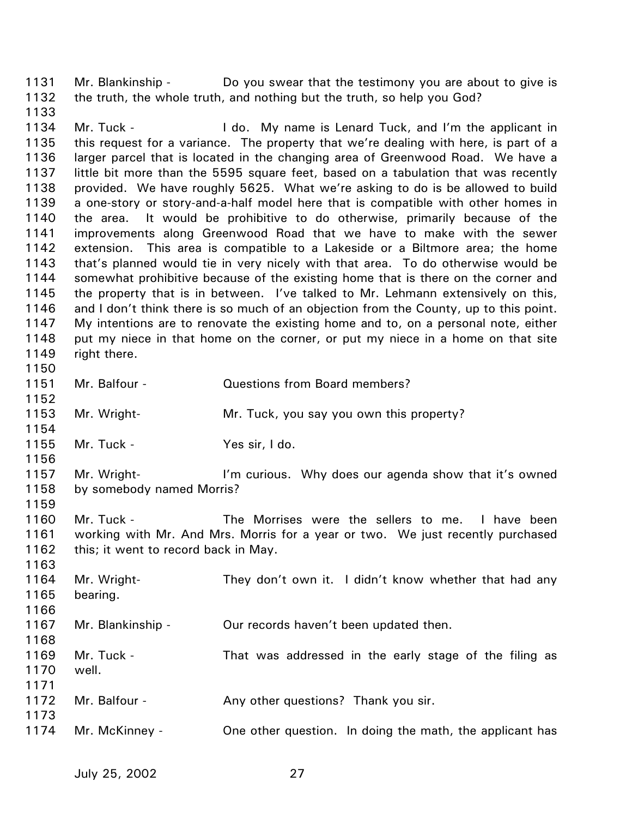1131 1132 Mr. Blankinship - Do you swear that the testimony you are about to give is the truth, the whole truth, and nothing but the truth, so help you God?

1133 1134 1135 1136 1137 1138 1139 1140 1141 1142 1143 1144 1145 1146 1147 1148 1149 1150 Mr. Tuck - The I do. My name is Lenard Tuck, and I'm the applicant in this request for a variance. The property that we're dealing with here, is part of a larger parcel that is located in the changing area of Greenwood Road. We have a little bit more than the 5595 square feet, based on a tabulation that was recently provided. We have roughly 5625. What we're asking to do is be allowed to build a one-story or story-and-a-half model here that is compatible with other homes in the area. It would be prohibitive to do otherwise, primarily because of the improvements along Greenwood Road that we have to make with the sewer extension. This area is compatible to a Lakeside or a Biltmore area; the home that's planned would tie in very nicely with that area. To do otherwise would be somewhat prohibitive because of the existing home that is there on the corner and the property that is in between. I've talked to Mr. Lehmann extensively on this, and I don't think there is so much of an objection from the County, up to this point. My intentions are to renovate the existing home and to, on a personal note, either put my niece in that home on the corner, or put my niece in a home on that site right there.

- 1151 1152 1153 1154 Mr. Balfour - Cuestions from Board members? Mr. Wright- **Mr. Tuck, you say you own this property**?
- 1155 Mr. Tuck - Yes sir, I do.

1156

1159

- 1157 1158 Mr. Wright- **I'm curious.** Why does our agenda show that it's owned by somebody named Morris?
- 1160 1161 1162 Mr. Tuck - The Morrises were the sellers to me. I have been working with Mr. And Mrs. Morris for a year or two. We just recently purchased this; it went to record back in May.
- 1163 1164 1165 1166 1167 1168 1169 1170 1171 1172 1173 1174 Mr. Wright- They don't own it. I didn't know whether that had any bearing. Mr. Blankinship - Our records haven't been updated then. Mr. Tuck - That was addressed in the early stage of the filing as well. Mr. Balfour - Any other questions? Thank you sir. Mr. McKinney - One other question. In doing the math, the applicant has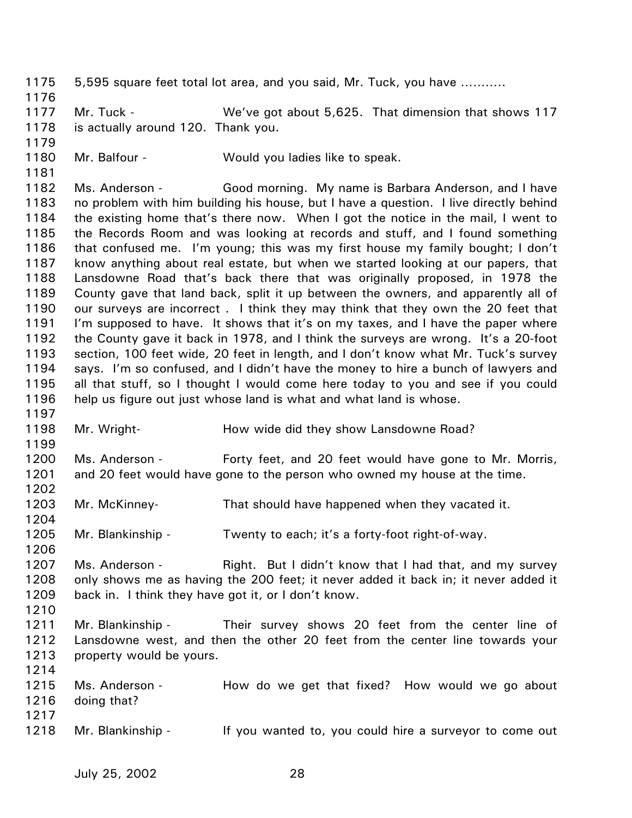1175 1176 1177 1178 1179 1180 1181 1182 1183 1184 1185 1186 1187 1188 1189 1190 1191 1192 1193 1194 1195 1196 1197 1198 1199 1200 1201 1202 1203 1204 1205 1206 1207 1208 1209 1210 1211 1212 1213 1214 1215 1216 1217 1218 5,595 square feet total lot area, and you said, Mr. Tuck, you have ……….. Mr. Tuck - We've got about 5,625. That dimension that shows 117 is actually around 120. Thank you. Mr. Balfour - Would you ladies like to speak. Ms. Anderson - Good morning. My name is Barbara Anderson, and I have no problem with him building his house, but I have a question. I live directly behind the existing home that's there now. When I got the notice in the mail, I went to the Records Room and was looking at records and stuff, and I found something that confused me. I'm young; this was my first house my family bought; I don't know anything about real estate, but when we started looking at our papers, that Lansdowne Road that's back there that was originally proposed, in 1978 the County gave that land back, split it up between the owners, and apparently all of our surveys are incorrect . I think they may think that they own the 20 feet that I'm supposed to have. It shows that it's on my taxes, and I have the paper where the County gave it back in 1978, and I think the surveys are wrong. It's a 20-foot section, 100 feet wide, 20 feet in length, and I don't know what Mr. Tuck's survey says. I'm so confused, and I didn't have the money to hire a bunch of lawyers and all that stuff, so I thought I would come here today to you and see if you could help us figure out just whose land is what and what land is whose. Mr. Wright- How wide did they show Lansdowne Road? Ms. Anderson - Forty feet, and 20 feet would have gone to Mr. Morris, and 20 feet would have gone to the person who owned my house at the time. Mr. McKinney- That should have happened when they vacated it. Mr. Blankinship - Twenty to each; it's a forty-foot right-of-way. Ms. Anderson - Right. But I didn't know that I had that, and my survey only shows me as having the 200 feet; it never added it back in; it never added it back in. I think they have got it, or I don't know. Mr. Blankinship - Their survey shows 20 feet from the center line of Lansdowne west, and then the other 20 feet from the center line towards your property would be yours. Ms. Anderson - How do we get that fixed? How would we go about doing that? Mr. Blankinship - If you wanted to, you could hire a surveyor to come out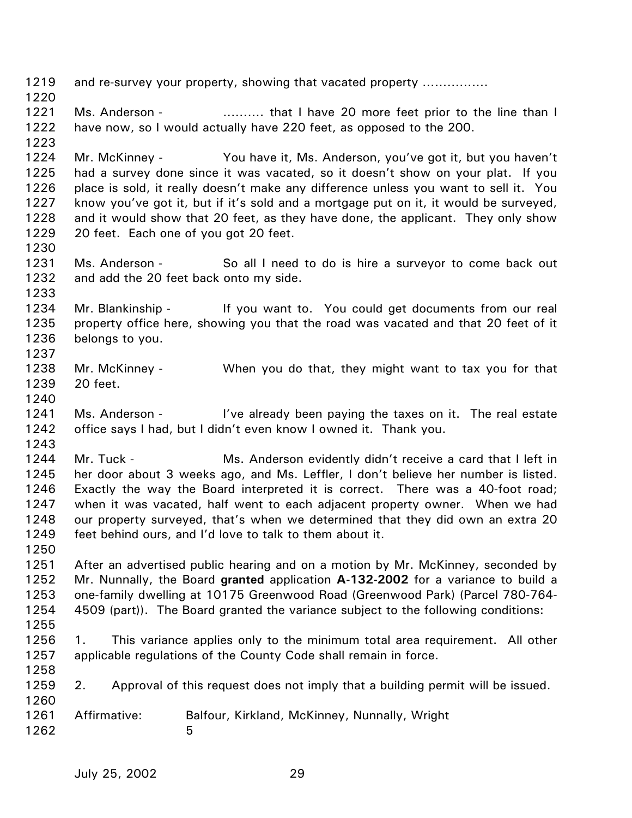1219 1220 1221 1222 1223 1224 1225 1226 1227 1228 1229 1230 1231 1232 1233 1234 1235 1236 1237 1238 1239 1240 1241 1242 1243 1244 1245 1246 1247 1248 1249 1250 1251 1252 1253 1254 1255 1256 1257 1258 1259 1260 1261 1262 and re-survey your property, showing that vacated property ……………. Ms. Anderson - ………. that I have 20 more feet prior to the line than I have now, so I would actually have 220 feet, as opposed to the 200. Mr. McKinney - You have it, Ms. Anderson, you've got it, but you haven't had a survey done since it was vacated, so it doesn't show on your plat. If you place is sold, it really doesn't make any difference unless you want to sell it. You know you've got it, but if it's sold and a mortgage put on it, it would be surveyed, and it would show that 20 feet, as they have done, the applicant. They only show 20 feet. Each one of you got 20 feet. Ms. Anderson - So all I need to do is hire a surveyor to come back out and add the 20 feet back onto my side. Mr. Blankinship - If you want to. You could get documents from our real property office here, showing you that the road was vacated and that 20 feet of it belongs to you. Mr. McKinney - When you do that, they might want to tax you for that 20 feet. Ms. Anderson - I've already been paying the taxes on it. The real estate office says I had, but I didn't even know I owned it. Thank you. Mr. Tuck - Ms. Anderson evidently didn't receive a card that I left in her door about 3 weeks ago, and Ms. Leffler, I don't believe her number is listed. Exactly the way the Board interpreted it is correct. There was a 40-foot road; when it was vacated, half went to each adjacent property owner. When we had our property surveyed, that's when we determined that they did own an extra 20 feet behind ours, and I'd love to talk to them about it. After an advertised public hearing and on a motion by Mr. McKinney, seconded by Mr. Nunnally, the Board **granted** application **A-132-2002** for a variance to build a one-family dwelling at 10175 Greenwood Road (Greenwood Park) (Parcel 780-764- 4509 (part)). The Board granted the variance subject to the following conditions: 1. This variance applies only to the minimum total area requirement. All other applicable regulations of the County Code shall remain in force. 2. Approval of this request does not imply that a building permit will be issued. Affirmative: Balfour, Kirkland, McKinney, Nunnally, Wright  $\sim$  5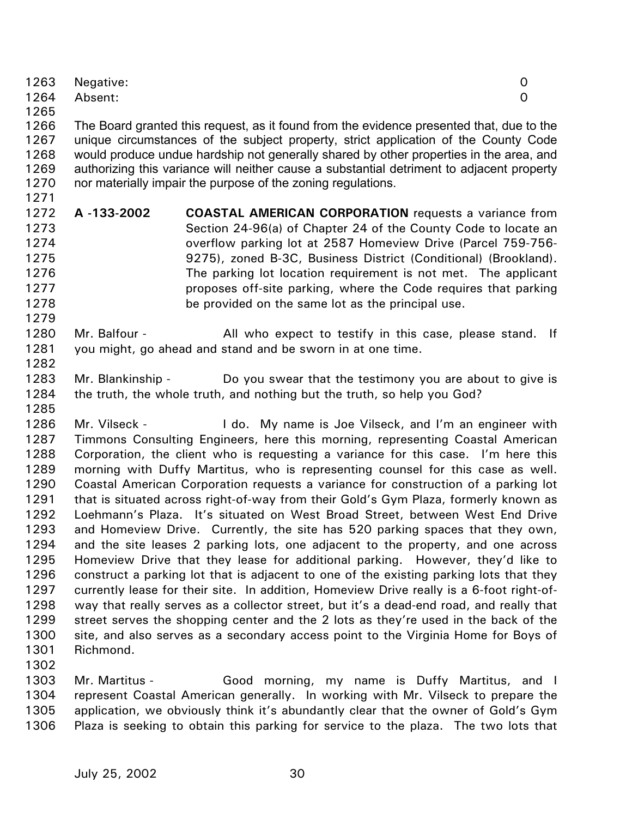|      | 1263 Negative: |  |
|------|----------------|--|
|      | 1264 Absent:   |  |
| 1265 |                |  |

1266 1267 1268 1269 1270 The Board granted this request, as it found from the evidence presented that, due to the unique circumstances of the subject property, strict application of the County Code would produce undue hardship not generally shared by other properties in the area, and authorizing this variance will neither cause a substantial detriment to adjacent property nor materially impair the purpose of the zoning regulations.

- 1272 1273 1274 1275 1276 1277 1278 **A -133-2002 COASTAL AMERICAN CORPORATION** requests a variance from Section 24-96(a) of Chapter 24 of the County Code to locate an overflow parking lot at 2587 Homeview Drive (Parcel 759-756- 9275), zoned B-3C, Business District (Conditional) (Brookland). The parking lot location requirement is not met. The applicant proposes off-site parking, where the Code requires that parking be provided on the same lot as the principal use.
- 1280 1281 Mr. Balfour - The All who expect to testify in this case, please stand. If you might, go ahead and stand and be sworn in at one time.
- 1283 1284 Mr. Blankinship - Do you swear that the testimony you are about to give is the truth, the whole truth, and nothing but the truth, so help you God?

1286 1287 1288 1289 1290 1291 1292 1293 1294 1295 1296 1297 1298 1299 1300 1301 Mr. Vilseck - The Lido. My name is Joe Vilseck, and I'm an engineer with Timmons Consulting Engineers, here this morning, representing Coastal American Corporation, the client who is requesting a variance for this case. I'm here this morning with Duffy Martitus, who is representing counsel for this case as well. Coastal American Corporation requests a variance for construction of a parking lot that is situated across right-of-way from their Gold's Gym Plaza, formerly known as Loehmann's Plaza. It's situated on West Broad Street, between West End Drive and Homeview Drive. Currently, the site has 520 parking spaces that they own, and the site leases 2 parking lots, one adjacent to the property, and one across Homeview Drive that they lease for additional parking. However, they'd like to construct a parking lot that is adjacent to one of the existing parking lots that they currently lease for their site. In addition, Homeview Drive really is a 6-foot right-ofway that really serves as a collector street, but it's a dead-end road, and really that street serves the shopping center and the 2 lots as they're used in the back of the site, and also serves as a secondary access point to the Virginia Home for Boys of Richmond.

1302

1271

1279

1282

1285

1303 1304 1305 1306 Mr. Martitus - Good morning, my name is Duffy Martitus, and I represent Coastal American generally. In working with Mr. Vilseck to prepare the application, we obviously think it's abundantly clear that the owner of Gold's Gym Plaza is seeking to obtain this parking for service to the plaza. The two lots that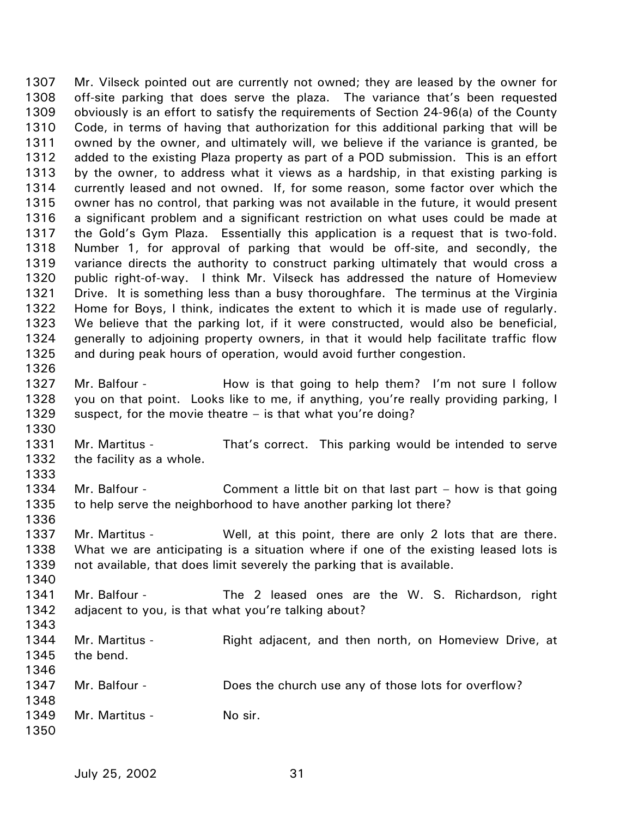1307 1308 1309 1310 1311 1312 1313 1314 1315 1316 1317 1318 1319 1320 1321 1322 1323 1324 1325 1326 1327 1328 1329 1330 1331 1332 1333 1334 1335 1336 1337 1338 1339 1340 1341 1342 1343 1344 1345 1346 1347 1348 1349 1350 Mr. Vilseck pointed out are currently not owned; they are leased by the owner for off-site parking that does serve the plaza. The variance that's been requested obviously is an effort to satisfy the requirements of Section 24-96(a) of the County Code, in terms of having that authorization for this additional parking that will be owned by the owner, and ultimately will, we believe if the variance is granted, be added to the existing Plaza property as part of a POD submission. This is an effort by the owner, to address what it views as a hardship, in that existing parking is currently leased and not owned. If, for some reason, some factor over which the owner has no control, that parking was not available in the future, it would present a significant problem and a significant restriction on what uses could be made at the Gold's Gym Plaza. Essentially this application is a request that is two-fold. Number 1, for approval of parking that would be off-site, and secondly, the variance directs the authority to construct parking ultimately that would cross a public right-of-way. I think Mr. Vilseck has addressed the nature of Homeview Drive. It is something less than a busy thoroughfare. The terminus at the Virginia Home for Boys, I think, indicates the extent to which it is made use of regularly. We believe that the parking lot, if it were constructed, would also be beneficial, generally to adjoining property owners, in that it would help facilitate traffic flow and during peak hours of operation, would avoid further congestion. Mr. Balfour - The How is that going to help them? I'm not sure I follow you on that point. Looks like to me, if anything, you're really providing parking, I suspect, for the movie theatre – is that what you're doing? Mr. Martitus - That's correct. This parking would be intended to serve the facility as a whole. Mr. Balfour - Comment a little bit on that last part – how is that going to help serve the neighborhood to have another parking lot there? Mr. Martitus - Well, at this point, there are only 2 lots that are there. What we are anticipating is a situation where if one of the existing leased lots is not available, that does limit severely the parking that is available. Mr. Balfour - The 2 leased ones are the W. S. Richardson, right adjacent to you, is that what you're talking about? Mr. Martitus - **Right adjacent, and then north, on Homeview Drive, at** the bend. Mr. Balfour - **Does the church use any of those lots for overflow?** Mr. Martitus - No sir.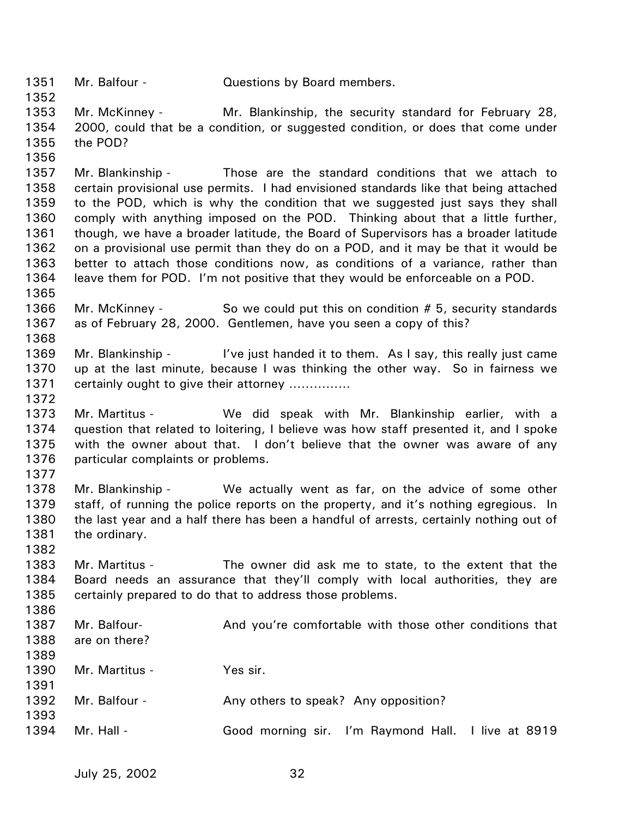1351 1352 Mr. Balfour - **Questions by Board members.** 

1353 1354 1355 Mr. McKinney - Mr. Blankinship, the security standard for February 28, 2000, could that be a condition, or suggested condition, or does that come under the POD?

1356

1365

1368

1377

1382

1386

1357 1358 1359 1360 1361 1362 1363 1364 Mr. Blankinship - Those are the standard conditions that we attach to certain provisional use permits. I had envisioned standards like that being attached to the POD, which is why the condition that we suggested just says they shall comply with anything imposed on the POD. Thinking about that a little further, though, we have a broader latitude, the Board of Supervisors has a broader latitude on a provisional use permit than they do on a POD, and it may be that it would be better to attach those conditions now, as conditions of a variance, rather than leave them for POD. I'm not positive that they would be enforceable on a POD.

- 1366 1367 Mr. McKinney - So we could put this on condition # 5, security standards as of February 28, 2000. Gentlemen, have you seen a copy of this?
- 1369 1370 1371 1372 Mr. Blankinship - I've just handed it to them. As I say, this really just came up at the last minute, because I was thinking the other way. So in fairness we certainly ought to give their attorney ……………
- 1373 1374 1375 1376 Mr. Martitus - We did speak with Mr. Blankinship earlier, with a question that related to loitering, I believe was how staff presented it, and I spoke with the owner about that. I don't believe that the owner was aware of any particular complaints or problems.
- 1378 1379 1380 1381 Mr. Blankinship - We actually went as far, on the advice of some other staff, of running the police reports on the property, and it's nothing egregious. In the last year and a half there has been a handful of arrests, certainly nothing out of the ordinary.
- 1383 1384 1385 Mr. Martitus - The owner did ask me to state, to the extent that the Board needs an assurance that they'll comply with local authorities, they are certainly prepared to do that to address those problems.
- 1387 1388 1389 1390 1391 1392 1393 1394 Mr. Balfour- And you're comfortable with those other conditions that are on there? Mr. Martitus - Yes sir. Mr. Balfour - Any others to speak? Any opposition? Mr. Hall - Good morning sir. I'm Raymond Hall. I live at 8919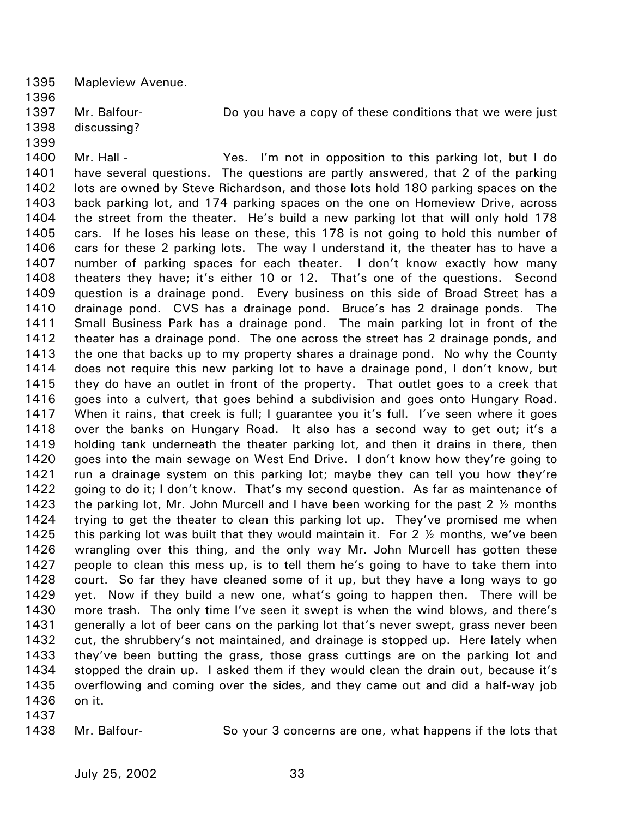1395 Mapleview Avenue.

1396

1397 Mr. Balfour- **Do you have a copy of these conditions that we were just** discussing?

- 1398
- 1399
- 1400

1401 1402 1403 1404 1405 1406 1407 1408 1409 1410 1411 1412 1413 1414 1415 1416 1417 1418 1419 1420 1421 1422 1423 1424 1425 1426 1427 1428 1429 1430 1431 1432 1433 1434 1435 1436 1437 Mr. Hall - Yes. I'm not in opposition to this parking lot, but I do have several questions. The questions are partly answered, that 2 of the parking lots are owned by Steve Richardson, and those lots hold 180 parking spaces on the back parking lot, and 174 parking spaces on the one on Homeview Drive, across the street from the theater. He's build a new parking lot that will only hold 178 cars. If he loses his lease on these, this 178 is not going to hold this number of cars for these 2 parking lots. The way I understand it, the theater has to have a number of parking spaces for each theater. I don't know exactly how many theaters they have; it's either 10 or 12. That's one of the questions. Second question is a drainage pond. Every business on this side of Broad Street has a drainage pond. CVS has a drainage pond. Bruce's has 2 drainage ponds. The Small Business Park has a drainage pond. The main parking lot in front of the theater has a drainage pond. The one across the street has 2 drainage ponds, and the one that backs up to my property shares a drainage pond. No why the County does not require this new parking lot to have a drainage pond, I don't know, but they do have an outlet in front of the property. That outlet goes to a creek that goes into a culvert, that goes behind a subdivision and goes onto Hungary Road. When it rains, that creek is full; I guarantee you it's full. I've seen where it goes over the banks on Hungary Road. It also has a second way to get out; it's a holding tank underneath the theater parking lot, and then it drains in there, then goes into the main sewage on West End Drive. I don't know how they're going to run a drainage system on this parking lot; maybe they can tell you how they're going to do it; I don't know. That's my second question. As far as maintenance of the parking lot, Mr. John Murcell and I have been working for the past 2  $\frac{1}{2}$  months trying to get the theater to clean this parking lot up. They've promised me when this parking lot was built that they would maintain it. For 2 ½ months, we've been wrangling over this thing, and the only way Mr. John Murcell has gotten these people to clean this mess up, is to tell them he's going to have to take them into court. So far they have cleaned some of it up, but they have a long ways to go yet. Now if they build a new one, what's going to happen then. There will be more trash. The only time I've seen it swept is when the wind blows, and there's generally a lot of beer cans on the parking lot that's never swept, grass never been cut, the shrubbery's not maintained, and drainage is stopped up. Here lately when they've been butting the grass, those grass cuttings are on the parking lot and stopped the drain up. I asked them if they would clean the drain out, because it's overflowing and coming over the sides, and they came out and did a half-way job on it.

1438

Mr. Balfour- So your 3 concerns are one, what happens if the lots that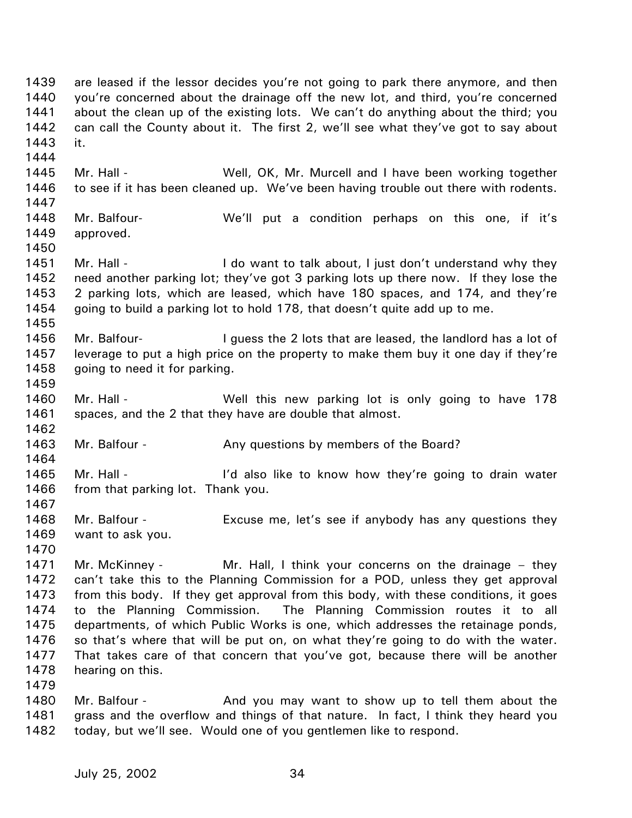1439 1440 1441 1442 1443 1444 1445 1446 1447 1448 1449 1450 1451 1452 1453 1454 1455 1456 1457 1458 1459 1460 1461 1462 1463 1464 1465 1466 1467 1468 1469 1470 1471 1472 1473 1474 1475 1476 1477 1478 1479 1480 are leased if the lessor decides you're not going to park there anymore, and then you're concerned about the drainage off the new lot, and third, you're concerned about the clean up of the existing lots. We can't do anything about the third; you can call the County about it. The first 2, we'll see what they've got to say about it. Mr. Hall - Well, OK, Mr. Murcell and I have been working together to see if it has been cleaned up. We've been having trouble out there with rodents. Mr. Balfour- We'll put a condition perhaps on this one, if it's approved. Mr. Hall - The I do want to talk about, I just don't understand why they need another parking lot; they've got 3 parking lots up there now. If they lose the 2 parking lots, which are leased, which have 180 spaces, and 174, and they're going to build a parking lot to hold 178, that doesn't quite add up to me. Mr. Balfour- **I** quess the 2 lots that are leased, the landlord has a lot of leverage to put a high price on the property to make them buy it one day if they're going to need it for parking. Mr. Hall - Well this new parking lot is only going to have 178 spaces, and the 2 that they have are double that almost. Mr. Balfour - The Any questions by members of the Board? Mr. Hall - The I'd also like to know how they're going to drain water from that parking lot. Thank you. Mr. Balfour - Excuse me, let's see if anybody has any questions they want to ask you. Mr. McKinney - Mr. Hall, I think your concerns on the drainage – they can't take this to the Planning Commission for a POD, unless they get approval from this body. If they get approval from this body, with these conditions, it goes to the Planning Commission. The Planning Commission routes it to all departments, of which Public Works is one, which addresses the retainage ponds, so that's where that will be put on, on what they're going to do with the water. That takes care of that concern that you've got, because there will be another hearing on this. Mr. Balfour - **And you may want to show up to tell them about the** 

1481 1482 grass and the overflow and things of that nature. In fact, I think they heard you today, but we'll see. Would one of you gentlemen like to respond.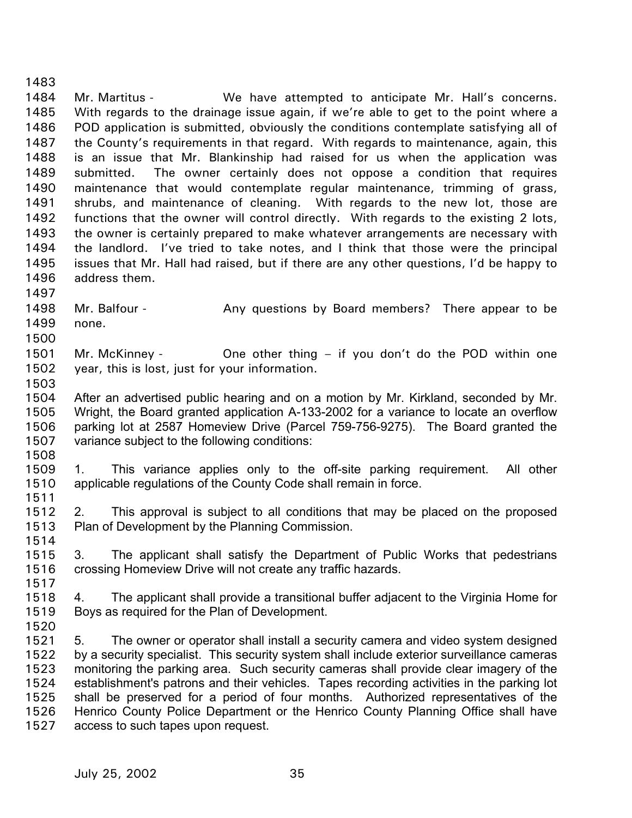1484 1485 1486 1487 1488 1489 1490 1491 1492 1493 1494 1495 1496 1497 1498 1499 1500 1501 1502 1503 1504 1505 1506 1507 1508 1509 1510 1511 1512 1513 1514 1515 1516 1517 1518 1519 1520 1521 1522 1523 1524 1525 1526 Mr. Martitus - We have attempted to anticipate Mr. Hall's concerns. With regards to the drainage issue again, if we're able to get to the point where a POD application is submitted, obviously the conditions contemplate satisfying all of the County's requirements in that regard. With regards to maintenance, again, this is an issue that Mr. Blankinship had raised for us when the application was submitted. The owner certainly does not oppose a condition that requires maintenance that would contemplate regular maintenance, trimming of grass, shrubs, and maintenance of cleaning. With regards to the new lot, those are functions that the owner will control directly. With regards to the existing 2 lots, the owner is certainly prepared to make whatever arrangements are necessary with the landlord. I've tried to take notes, and I think that those were the principal issues that Mr. Hall had raised, but if there are any other questions, I'd be happy to address them. Mr. Balfour - Any questions by Board members? There appear to be none. Mr. McKinney - **One other thing – if you don't do the POD** within one year, this is lost, just for your information. After an advertised public hearing and on a motion by Mr. Kirkland, seconded by Mr. Wright, the Board granted application A-133-2002 for a variance to locate an overflow parking lot at 2587 Homeview Drive (Parcel 759-756-9275). The Board granted the variance subject to the following conditions: 1. This variance applies only to the off-site parking requirement. All other applicable regulations of the County Code shall remain in force. 2. This approval is subject to all conditions that may be placed on the proposed Plan of Development by the Planning Commission. 3. The applicant shall satisfy the Department of Public Works that pedestrians crossing Homeview Drive will not create any traffic hazards. 4. The applicant shall provide a transitional buffer adjacent to the Virginia Home for Boys as required for the Plan of Development. 5. The owner or operator shall install a security camera and video system designed by a security specialist. This security system shall include exterior surveillance cameras monitoring the parking area. Such security cameras shall provide clear imagery of the establishment's patrons and their vehicles. Tapes recording activities in the parking lot shall be preserved for a period of four months. Authorized representatives of the Henrico County Police Department or the Henrico County Planning Office shall have

1527 access to such tapes upon request.

1483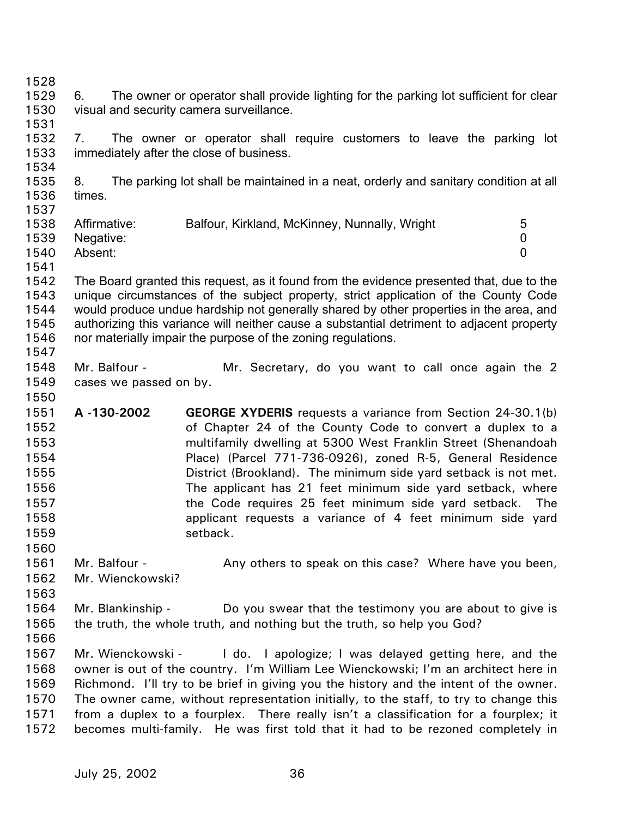1528 1529 1530 1531 1532 1533 1534 1535 1536 1537 1538 1539 1540 1541 1542 1543 1544 1545 1546 1547 1548 1549 1550 1551 1552 1553 1554 1555 1556 1557 1558 1559 1560 1561 1562 1563 1564 1565 1566 1567 1568 1569 1570 1571 1572 6. The owner or operator shall provide lighting for the parking lot sufficient for clear visual and security camera surveillance. 7. The owner or operator shall require customers to leave the parking lot immediately after the close of business. 8. The parking lot shall be maintained in a neat, orderly and sanitary condition at all times. Affirmative: Balfour, Kirkland, McKinney, Nunnally, Wright 5 Negative: 0 Absent: 0 The Board granted this request, as it found from the evidence presented that, due to the unique circumstances of the subject property, strict application of the County Code would produce undue hardship not generally shared by other properties in the area, and authorizing this variance will neither cause a substantial detriment to adjacent property nor materially impair the purpose of the zoning regulations. Mr. Balfour - The Mr. Secretary, do you want to call once again the 2 cases we passed on by. **A -130-2002 GEORGE XYDERIS** requests a variance from Section 24-30.1(b) of Chapter 24 of the County Code to convert a duplex to a multifamily dwelling at 5300 West Franklin Street (Shenandoah Place) (Parcel 771-736-0926), zoned R-5, General Residence District (Brookland). The minimum side yard setback is not met. The applicant has 21 feet minimum side yard setback, where the Code requires 25 feet minimum side yard setback. The applicant requests a variance of 4 feet minimum side yard setback. Mr. Balfour - Any others to speak on this case? Where have you been, Mr. Wienckowski? Mr. Blankinship - Do you swear that the testimony you are about to give is the truth, the whole truth, and nothing but the truth, so help you God? Mr. Wienckowski - I do. I apologize; I was delayed getting here, and the owner is out of the country. I'm William Lee Wienckowski; I'm an architect here in Richmond. I'll try to be brief in giving you the history and the intent of the owner. The owner came, without representation initially, to the staff, to try to change this from a duplex to a fourplex. There really isn't a classification for a fourplex; it becomes multi-family. He was first told that it had to be rezoned completely in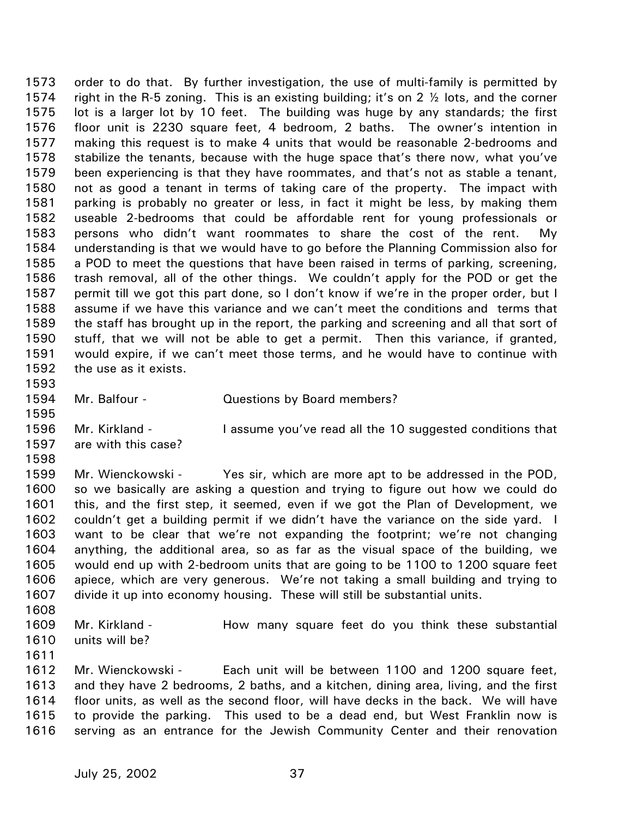1573 1574 1575 1576 1577 1578 1579 1580 1581 1582 1583 1584 1585 1586 1587 1588 1589 1590 1591 1592 1593 1594 order to do that. By further investigation, the use of multi-family is permitted by right in the R-5 zoning. This is an existing building; it's on 2  $\frac{1}{2}$  lots, and the corner lot is a larger lot by 10 feet. The building was huge by any standards; the first floor unit is 2230 square feet, 4 bedroom, 2 baths. The owner's intention in making this request is to make 4 units that would be reasonable 2-bedrooms and stabilize the tenants, because with the huge space that's there now, what you've been experiencing is that they have roommates, and that's not as stable a tenant, not as good a tenant in terms of taking care of the property. The impact with parking is probably no greater or less, in fact it might be less, by making them useable 2-bedrooms that could be affordable rent for young professionals or persons who didn't want roommates to share the cost of the rent. My understanding is that we would have to go before the Planning Commission also for a POD to meet the questions that have been raised in terms of parking, screening, trash removal, all of the other things. We couldn't apply for the POD or get the permit till we got this part done, so I don't know if we're in the proper order, but I assume if we have this variance and we can't meet the conditions and terms that the staff has brought up in the report, the parking and screening and all that sort of stuff, that we will not be able to get a permit. Then this variance, if granted, would expire, if we can't meet those terms, and he would have to continue with the use as it exists.

1595

Mr. Balfour - Cuestions by Board members?

1596 1597 Mr. Kirkland - I assume you've read all the 10 suggested conditions that are with this case?

1598

1599 1600 1601 1602 1603 1604 1605 1606 1607 Mr. Wienckowski - Yes sir, which are more apt to be addressed in the POD, so we basically are asking a question and trying to figure out how we could do this, and the first step, it seemed, even if we got the Plan of Development, we couldn't get a building permit if we didn't have the variance on the side yard. I want to be clear that we're not expanding the footprint; we're not changing anything, the additional area, so as far as the visual space of the building, we would end up with 2-bedroom units that are going to be 1100 to 1200 square feet apiece, which are very generous. We're not taking a small building and trying to divide it up into economy housing. These will still be substantial units.

1609 1610 Mr. Kirkland - The How many square feet do you think these substantial units will be?

1611

1608

1612 1613 1614 1615 1616 Mr. Wienckowski - Each unit will be between 1100 and 1200 square feet, and they have 2 bedrooms, 2 baths, and a kitchen, dining area, living, and the first floor units, as well as the second floor, will have decks in the back. We will have to provide the parking. This used to be a dead end, but West Franklin now is serving as an entrance for the Jewish Community Center and their renovation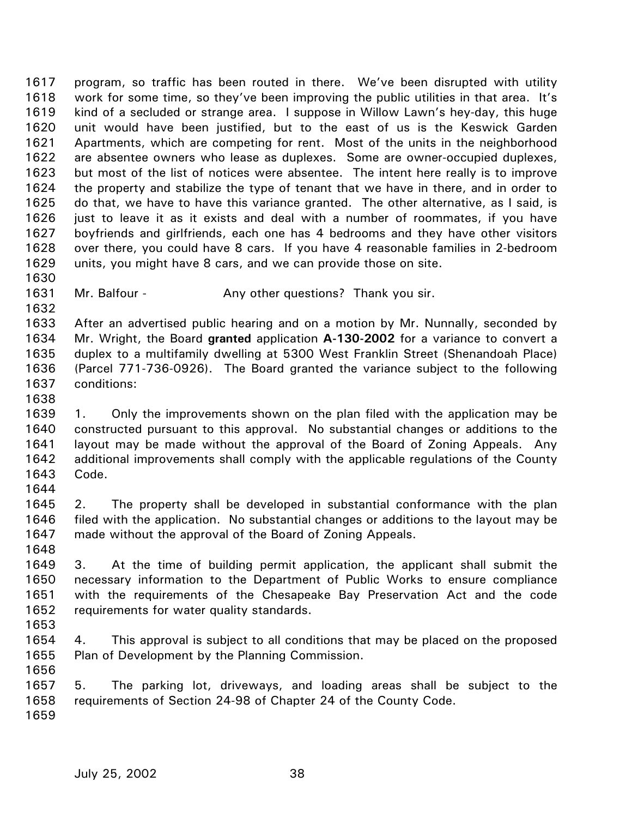1617 1618 1619 1620 1621 1622 1623 1624 1625 1626 1627 1628 1629 1630 program, so traffic has been routed in there. We've been disrupted with utility work for some time, so they've been improving the public utilities in that area. It's kind of a secluded or strange area. I suppose in Willow Lawn's hey-day, this huge unit would have been justified, but to the east of us is the Keswick Garden Apartments, which are competing for rent. Most of the units in the neighborhood are absentee owners who lease as duplexes. Some are owner-occupied duplexes, but most of the list of notices were absentee. The intent here really is to improve the property and stabilize the type of tenant that we have in there, and in order to do that, we have to have this variance granted. The other alternative, as I said, is just to leave it as it exists and deal with a number of roommates, if you have boyfriends and girlfriends, each one has 4 bedrooms and they have other visitors over there, you could have 8 cars. If you have 4 reasonable families in 2-bedroom units, you might have 8 cars, and we can provide those on site.

1631 Mr. Balfour - Any other questions? Thank you sir.

1633 1634 1635 1636 1637 After an advertised public hearing and on a motion by Mr. Nunnally, seconded by Mr. Wright, the Board **granted** application **A-130-2002** for a variance to convert a duplex to a multifamily dwelling at 5300 West Franklin Street (Shenandoah Place) (Parcel 771-736-0926). The Board granted the variance subject to the following conditions:

1639 1640 1641 1642 1643 1. Only the improvements shown on the plan filed with the application may be constructed pursuant to this approval. No substantial changes or additions to the layout may be made without the approval of the Board of Zoning Appeals. Any additional improvements shall comply with the applicable regulations of the County Code.

1645 1646 1647 2. The property shall be developed in substantial conformance with the plan filed with the application. No substantial changes or additions to the layout may be made without the approval of the Board of Zoning Appeals.

1649 1650 1651 1652 3. At the time of building permit application, the applicant shall submit the necessary information to the Department of Public Works to ensure compliance with the requirements of the Chesapeake Bay Preservation Act and the code requirements for water quality standards.

1653

1632

1638

1644

1648

1654 1655 1656 4. This approval is subject to all conditions that may be placed on the proposed Plan of Development by the Planning Commission.

1657 1658 1659 5. The parking lot, driveways, and loading areas shall be subject to the requirements of Section 24-98 of Chapter 24 of the County Code.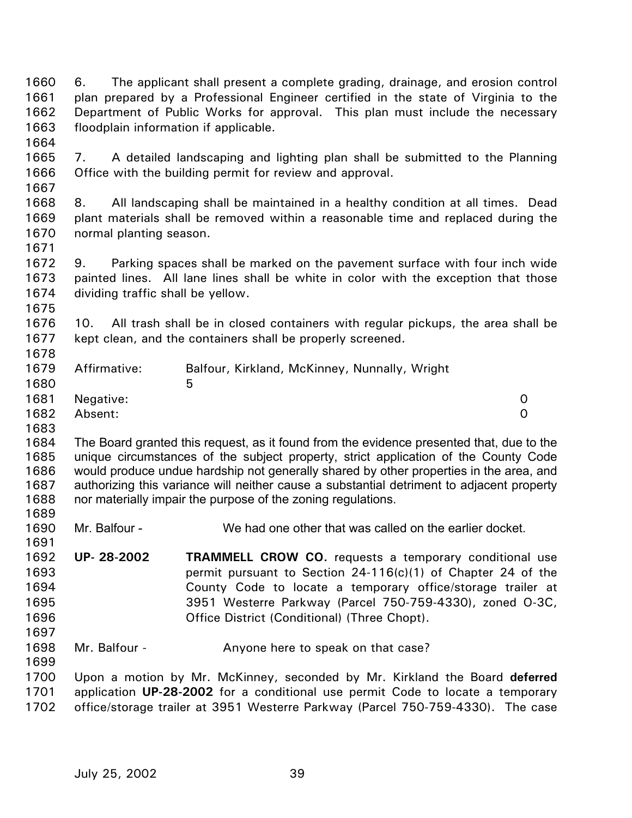1660 1661 1662 1663 1664 1665 1666 1667 1668 1669 1670 1671 1672 1673 1674 1675 1676 1677 1678 1679 1680 1681 1682 1683 1684 1685 1686 1687 1688 1689 1690 1691 1692 1693 1694 1695 1696 1697 1698 1699 1700 1701 1702 6. The applicant shall present a complete grading, drainage, and erosion control plan prepared by a Professional Engineer certified in the state of Virginia to the Department of Public Works for approval. This plan must include the necessary floodplain information if applicable. 7. A detailed landscaping and lighting plan shall be submitted to the Planning Office with the building permit for review and approval. 8. All landscaping shall be maintained in a healthy condition at all times. Dead plant materials shall be removed within a reasonable time and replaced during the normal planting season. 9. Parking spaces shall be marked on the pavement surface with four inch wide painted lines. All lane lines shall be white in color with the exception that those dividing traffic shall be yellow. 10. All trash shall be in closed containers with regular pickups, the area shall be kept clean, and the containers shall be properly screened. Affirmative: Balfour, Kirkland, McKinney, Nunnally, Wright  $5<sub>5</sub>$ Negative: 0 Absent: 0 The Board granted this request, as it found from the evidence presented that, due to the unique circumstances of the subject property, strict application of the County Code would produce undue hardship not generally shared by other properties in the area, and authorizing this variance will neither cause a substantial detriment to adjacent property nor materially impair the purpose of the zoning regulations. Mr. Balfour - We had one other that was called on the earlier docket. **UP- 28-2002 TRAMMELL CROW CO.** requests a temporary conditional use permit pursuant to Section 24-116(c)(1) of Chapter 24 of the County Code to locate a temporary office/storage trailer at 3951 Westerre Parkway (Parcel 750-759-4330), zoned O-3C, Office District (Conditional) (Three Chopt). Mr. Balfour - The Anyone here to speak on that case? Upon a motion by Mr. McKinney, seconded by Mr. Kirkland the Board **deferred** application **UP-28-2002** for a conditional use permit Code to locate a temporary office/storage trailer at 3951 Westerre Parkway (Parcel 750-759-4330). The case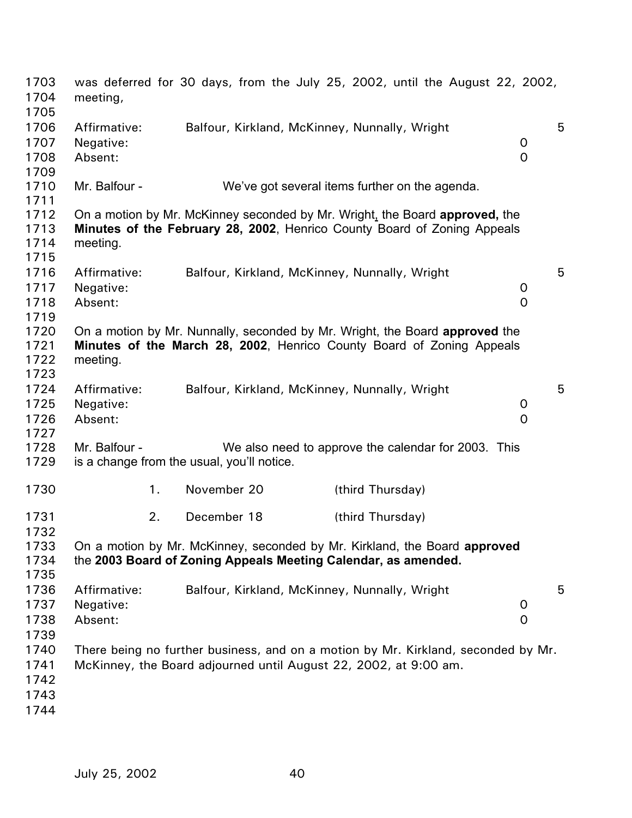| 1703<br>1704<br>1705 | meeting,      |    |                                            | was deferred for 30 days, from the July 25, 2002, until the August 22, 2002,      |              |   |
|----------------------|---------------|----|--------------------------------------------|-----------------------------------------------------------------------------------|--------------|---|
| 1706                 | Affirmative:  |    |                                            | Balfour, Kirkland, McKinney, Nunnally, Wright                                     |              | 5 |
| 1707                 | Negative:     |    |                                            |                                                                                   | 0            |   |
| 1708                 | Absent:       |    |                                            |                                                                                   | $\Omega$     |   |
| 1709                 |               |    |                                            |                                                                                   |              |   |
| 1710                 | Mr. Balfour - |    |                                            | We've got several items further on the agenda.                                    |              |   |
| 1711                 |               |    |                                            |                                                                                   |              |   |
| 1712                 |               |    |                                            | On a motion by Mr. McKinney seconded by Mr. Wright, the Board approved, the       |              |   |
| 1713                 |               |    |                                            | Minutes of the February 28, 2002, Henrico County Board of Zoning Appeals          |              |   |
| 1714                 | meeting.      |    |                                            |                                                                                   |              |   |
| 1715                 |               |    |                                            |                                                                                   |              |   |
| 1716                 | Affirmative:  |    |                                            | Balfour, Kirkland, McKinney, Nunnally, Wright                                     |              | 5 |
| 1717                 | Negative:     |    |                                            |                                                                                   | 0            |   |
| 1718                 | Absent:       |    |                                            |                                                                                   | 0            |   |
| 1719                 |               |    |                                            |                                                                                   |              |   |
| 1720                 |               |    |                                            | On a motion by Mr. Nunnally, seconded by Mr. Wright, the Board approved the       |              |   |
| 1721                 |               |    |                                            | Minutes of the March 28, 2002, Henrico County Board of Zoning Appeals             |              |   |
| 1722                 | meeting.      |    |                                            |                                                                                   |              |   |
| 1723                 |               |    |                                            |                                                                                   |              |   |
| 1724                 | Affirmative:  |    |                                            | Balfour, Kirkland, McKinney, Nunnally, Wright                                     |              | 5 |
| 1725                 | Negative:     |    |                                            |                                                                                   | 0            |   |
| 1726                 | Absent:       |    |                                            |                                                                                   | 0            |   |
| 1727                 |               |    |                                            |                                                                                   |              |   |
| 1728                 | Mr. Balfour - |    |                                            | We also need to approve the calendar for 2003. This                               |              |   |
| 1729                 |               |    | is a change from the usual, you'll notice. |                                                                                   |              |   |
| 1730                 |               | 1. | November 20                                | (third Thursday)                                                                  |              |   |
| 1731<br>1732         |               | 2. | December 18                                | (third Thursday)                                                                  |              |   |
| 1733                 |               |    |                                            | On a motion by Mr. McKinney, seconded by Mr. Kirkland, the Board approved         |              |   |
| 1734                 |               |    |                                            | the 2003 Board of Zoning Appeals Meeting Calendar, as amended.                    |              |   |
| 1735                 |               |    |                                            |                                                                                   |              |   |
| 1736                 | Affirmative:  |    |                                            | Balfour, Kirkland, McKinney, Nunnally, Wright                                     |              | 5 |
| 1737                 | Negative:     |    |                                            |                                                                                   | 0            |   |
| 1738                 | Absent:       |    |                                            |                                                                                   | $\mathsf{O}$ |   |
| 1739                 |               |    |                                            |                                                                                   |              |   |
| 1740                 |               |    |                                            | There being no further business, and on a motion by Mr. Kirkland, seconded by Mr. |              |   |
| 1741                 |               |    |                                            |                                                                                   |              |   |
|                      |               |    |                                            | McKinney, the Board adjourned until August 22, 2002, at 9:00 am.                  |              |   |
| 1742                 |               |    |                                            |                                                                                   |              |   |
| 1743                 |               |    |                                            |                                                                                   |              |   |
| 1744                 |               |    |                                            |                                                                                   |              |   |